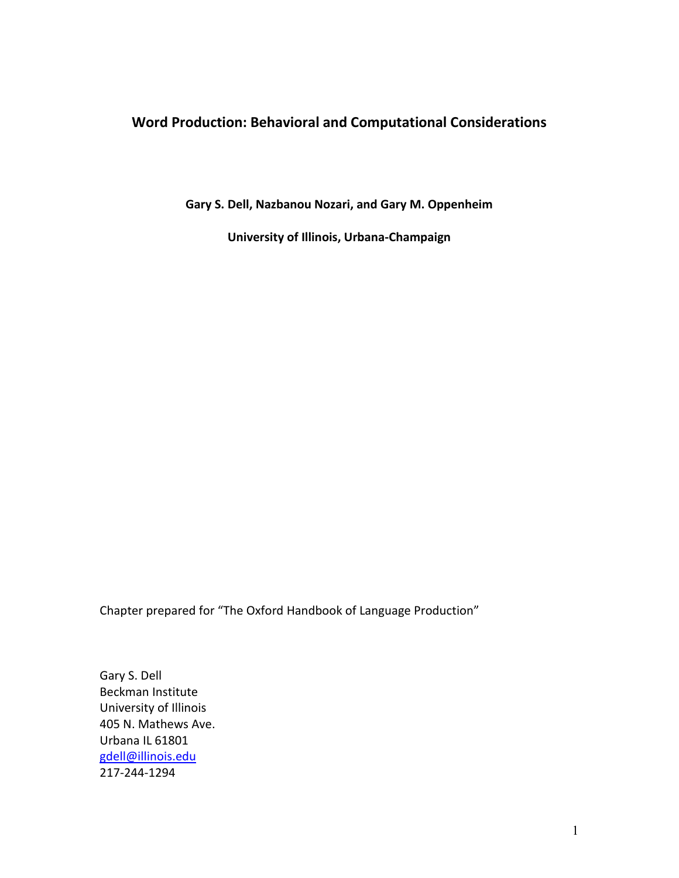# **Word Production: Behavioral and Computational Considerations**

**Gary S. Dell, Nazbanou Nozari, and Gary M. Oppenheim**

**University of Illinois, Urbana-Champaign**

Chapter prepared for "The Oxford Handbook of Language Production"

<span id="page-0-0"></span>Gary S. Dell Beckman Institute University of Illinois 405 N. Mathews Ave. Urbana IL 61801 [gdell@illinois.edu](mailto:gdell@illinois.edu) 217-244-1294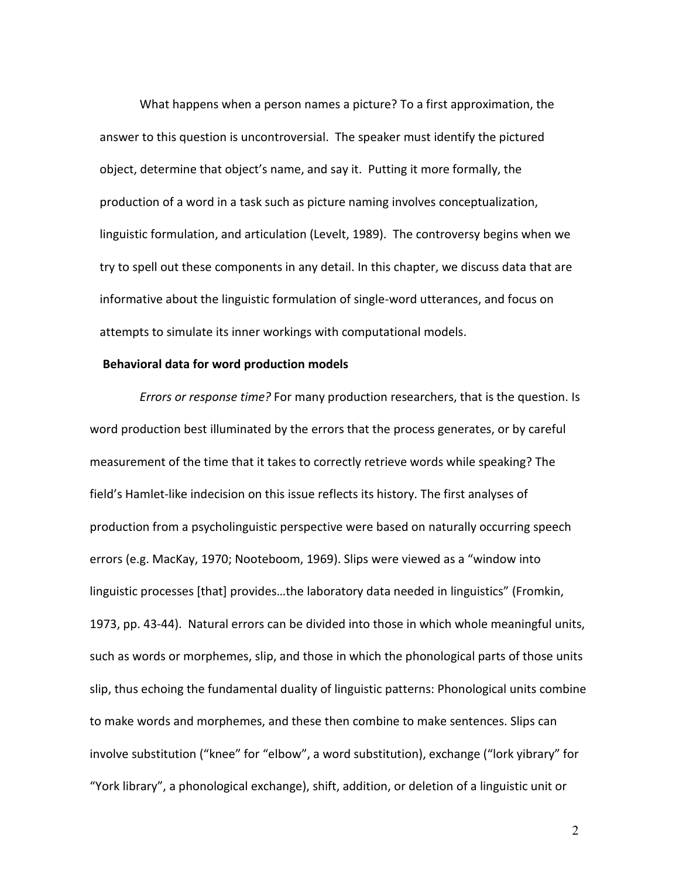What happens when a person names a picture? To a first approximation, the answer to this question is uncontroversial. The speaker must identify the pictured object, determine that object's name, and say it. Putting it more formally, the production of a word in a task such as picture naming involves conceptualization, linguistic formulation, and articulation (Levelt, 1989). The controversy begins when we try to spell out these components in any detail. In this chapter, we discuss data that are informative about the linguistic formulation of single-word utterances, and focus on attempts to simulate its inner workings with computational models.

### **Behavioral data for word production models**

*Errors or response time?* For many production researchers, that is the question. Is word production best illuminated by the errors that the process generates, or by careful measurement of the time that it takes to correctly retrieve words while speaking? The field's Hamlet-like indecision on this issue reflects its history. The first analyses of production from a psycholinguistic perspective were based on naturally occurring speech errors (e.g. MacKay, 1970; Nooteboom, 1969). Slips were viewed as a "window into linguistic processes [that] provides…the laboratory data needed in linguistics" (Fromkin, 1973, pp. 43-44). Natural errors can be divided into those in which whole meaningful units, such as words or morphemes, slip, and those in which the phonological parts of those units slip, thus echoing the fundamental duality of linguistic patterns: Phonological units combine to make words and morphemes, and these then combine to make sentences. Slips can involve substitution ("knee" for "elbow", a word substitution), exchange ("lork yibrary" for "York library", a phonological exchange), shift, addition, or deletion of a linguistic unit or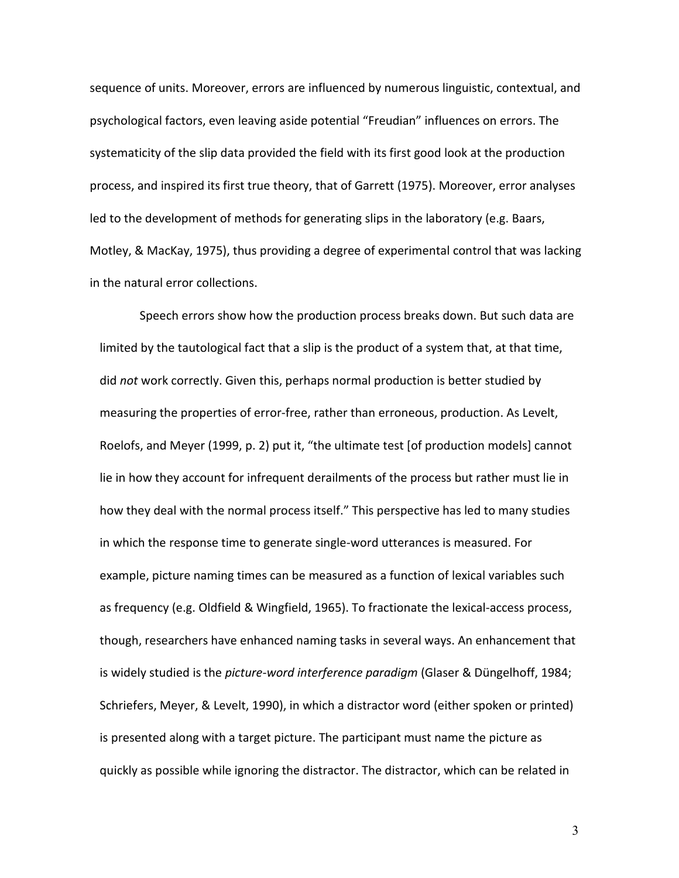sequence of units. Moreover, errors are influenced by numerous linguistic, contextual, and psychological factors, even leaving aside potential "Freudian" influences on errors. The systematicity of the slip data provided the field with its first good look at the production process, and inspired its first true theory, that of Garrett (1975). Moreover, error analyses led to the development of methods for generating slips in the laboratory (e.g. Baars, Motley, & MacKay, 1975), thus providing a degree of experimental control that was lacking in the natural error collections.

Speech errors show how the production process breaks down. But such data are limited by the tautological fact that a slip is the product of a system that, at that time, did *not* work correctly. Given this, perhaps normal production is better studied by measuring the properties of error-free, rather than erroneous, production. As Levelt, Roelofs, and Meyer (1999, p. 2) put it, "the ultimate test [of production models] cannot lie in how they account for infrequent derailments of the process but rather must lie in how they deal with the normal process itself." This perspective has led to many studies in which the response time to generate single-word utterances is measured. For example, picture naming times can be measured as a function of lexical variables such as frequency (e.g. Oldfield & Wingfield, 1965). To fractionate the lexical-access process, though, researchers have enhanced naming tasks in several ways. An enhancement that is widely studied is the *picture-word interference paradigm* (Glaser & Düngelhoff, 1984; Schriefers, Meyer, & Levelt, 1990), in which a distractor word (either spoken or printed) is presented along with a target picture. The participant must name the picture as quickly as possible while ignoring the distractor. The distractor, which can be related in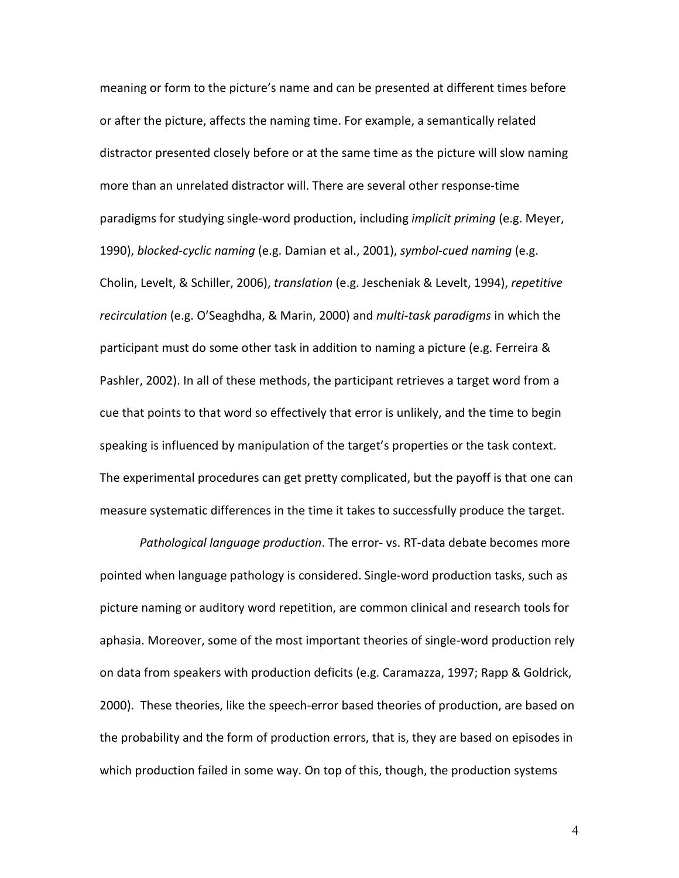meaning or form to the picture's name and can be presented at different times before or after the picture, affects the naming time. For example, a semantically related distractor presented closely before or at the same time as the picture will slow naming more than an unrelated distractor will. There are several other response-time paradigms for studying single-word production, including *implicit priming* (e.g. Meyer, 1990), *blocked-cyclic naming* (e.g. Damian et al., 2001), *symbol-cued naming* (e.g. Cholin, Levelt, & Schiller, 2006), *translation* (e.g. Jescheniak & Levelt, 1994), *repetitive recirculation* (e.g. O'Seaghdha, & Marin, 2000) and *multi-task paradigms* in which the participant must do some other task in addition to naming a picture (e.g. Ferreira & Pashler, 2002). In all of these methods, the participant retrieves a target word from a cue that points to that word so effectively that error is unlikely, and the time to begin speaking is influenced by manipulation of the target's properties or the task context. The experimental procedures can get pretty complicated, but the payoff is that one can measure systematic differences in the time it takes to successfully produce the target.

*Pathological language production*. The error- vs. RT-data debate becomes more pointed when language pathology is considered. Single-word production tasks, such as picture naming or auditory word repetition, are common clinical and research tools for aphasia. Moreover, some of the most important theories of single-word production rely on data from speakers with production deficits (e.g. Caramazza, 1997; Rapp & Goldrick, 2000). These theories, like the speech-error based theories of production, are based on the probability and the form of production errors, that is, they are based on episodes in which production failed in some way. On top of this, though, the production systems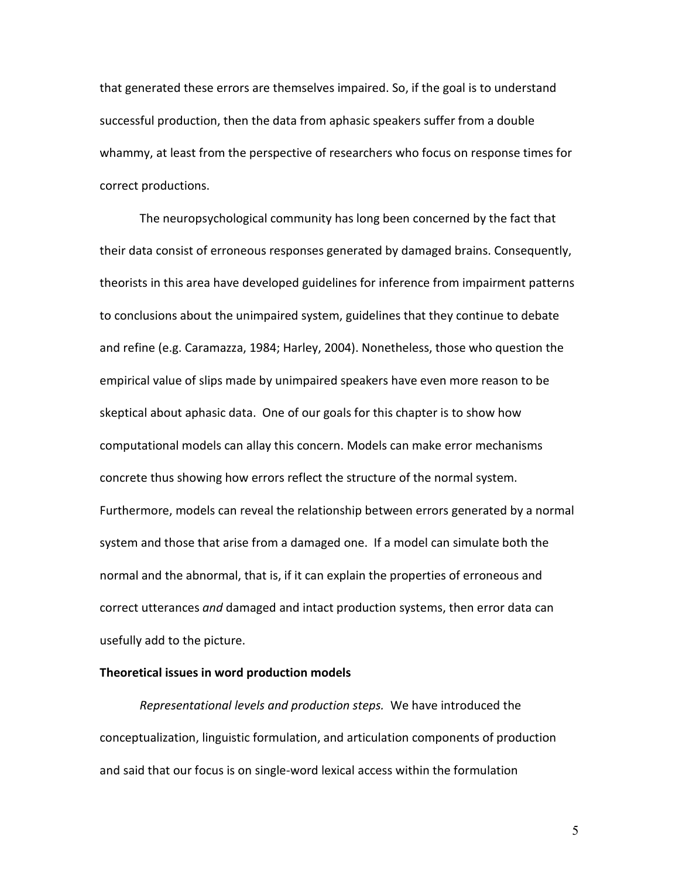that generated these errors are themselves impaired. So, if the goal is to understand successful production, then the data from aphasic speakers suffer from a double whammy, at least from the perspective of researchers who focus on response times for correct productions.

The neuropsychological community has long been concerned by the fact that their data consist of erroneous responses generated by damaged brains. Consequently, theorists in this area have developed guidelines for inference from impairment patterns to conclusions about the unimpaired system, guidelines that they continue to debate and refine (e.g. Caramazza, 1984; Harley, 2004). Nonetheless, those who question the empirical value of slips made by unimpaired speakers have even more reason to be skeptical about aphasic data. One of our goals for this chapter is to show how computational models can allay this concern. Models can make error mechanisms concrete thus showing how errors reflect the structure of the normal system. Furthermore, models can reveal the relationship between errors generated by a normal system and those that arise from a damaged one. If a model can simulate both the normal and the abnormal, that is, if it can explain the properties of erroneous and correct utterances *and* damaged and intact production systems, then error data can usefully add to the picture.

## **Theoretical issues in word production models**

*Representational levels and production steps.* We have introduced the conceptualization, linguistic formulation, and articulation components of production and said that our focus is on single-word lexical access within the formulation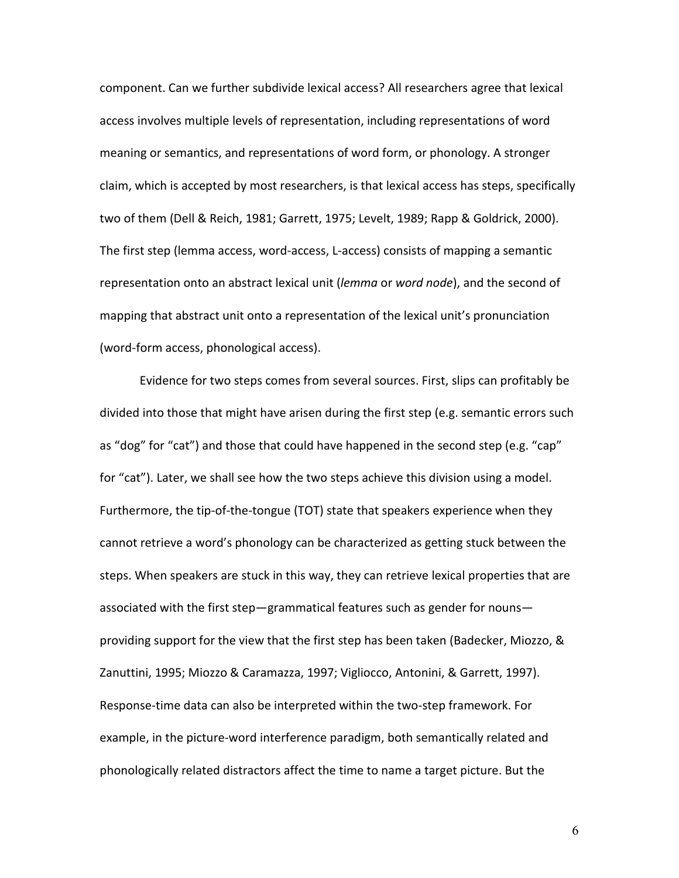component. Can we further subdivide lexical access? All researchers agree that lexical access involves multiple levels of representation, including representations of word meaning or semantics, and representations of word form, or phonology. A stronger claim, which is accepted by most researchers, is that lexical access has steps, specifically two of them (Dell & Reich, 1981; Garrett, 1975; Levelt, 1989; Rapp & Goldrick, 2000). The first step (lemma access, word-access, L-access) consists of mapping a semantic representation onto an abstract lexical unit (*lemma* or *word node*), and the second of mapping that abstract unit onto a representation of the lexical unit's pronunciation (word-form access, phonological access).

Evidence for two steps comes from several sources. First, slips can profitably be divided into those that might have arisen during the first step (e.g. semantic errors such as "dog" for "cat") and those that could have happened in the second step (e.g. "cap" for "cat"). Later, we shall see how the two steps achieve this division using a model. Furthermore, the tip-of-the-tongue (TOT) state that speakers experience when they cannot retrieve a word's phonology can be characterized as getting stuck between the steps. When speakers are stuck in this way, they can retrieve lexical properties that are associated with the first step—grammatical features such as gender for nouns providing support for the view that the first step has been taken (Badecker, Miozzo, & Zanuttini, 1995; Miozzo & Caramazza, 1997; Vigliocco, Antonini, & Garrett, 1997). Response-time data can also be interpreted within the two-step framework. For example, in the picture-word interference paradigm, both semantically related and phonologically related distractors affect the time to name a target picture. But the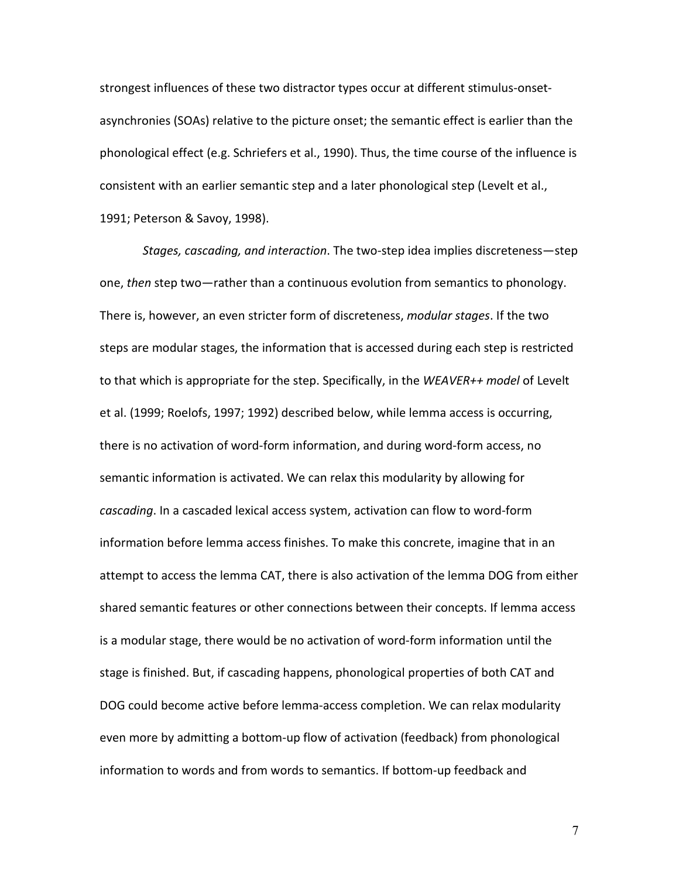strongest influences of these two distractor types occur at different stimulus-onsetasynchronies (SOAs) relative to the picture onset; the semantic effect is earlier than the phonological effect (e.g. Schriefers et al., 1990). Thus, the time course of the influence is consistent with an earlier semantic step and a later phonological step (Levelt et al., 1991; Peterson & Savoy, 1998).

*Stages, cascading, and interaction*. The two-step idea implies discreteness—step one, *then* step two—rather than a continuous evolution from semantics to phonology. There is, however, an even stricter form of discreteness, *modular stages*. If the two steps are modular stages, the information that is accessed during each step is restricted to that which is appropriate for the step. Specifically, in the *WEAVER++ model* of Levelt et al. (1999; Roelofs, 1997; 1992) described below, while lemma access is occurring, there is no activation of word-form information, and during word-form access, no semantic information is activated. We can relax this modularity by allowing for *cascading*. In a cascaded lexical access system, activation can flow to word-form information before lemma access finishes. To make this concrete, imagine that in an attempt to access the lemma CAT, there is also activation of the lemma DOG from either shared semantic features or other connections between their concepts. If lemma access is a modular stage, there would be no activation of word-form information until the stage is finished. But, if cascading happens, phonological properties of both CAT and DOG could become active before lemma-access completion. We can relax modularity even more by admitting a bottom-up flow of activation (feedback) from phonological information to words and from words to semantics. If bottom-up feedback and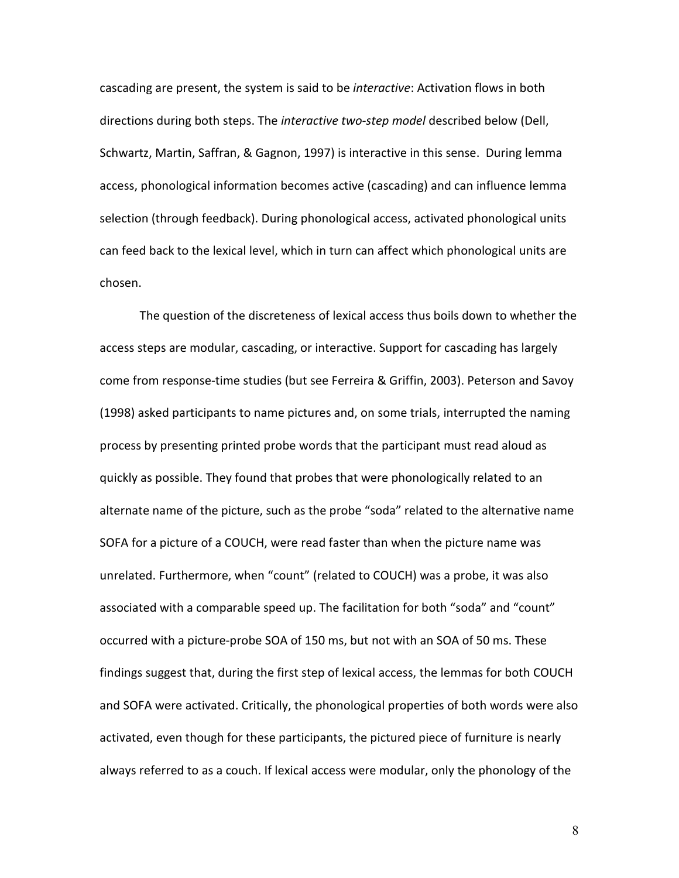cascading are present, the system is said to be *interactive*: Activation flows in both directions during both steps. The *interactive two-step model* described below (Dell, Schwartz, Martin, Saffran, & Gagnon, 1997) is interactive in this sense. During lemma access, phonological information becomes active (cascading) and can influence lemma selection (through feedback). During phonological access, activated phonological units can feed back to the lexical level, which in turn can affect which phonological units are chosen.

The question of the discreteness of lexical access thus boils down to whether the access steps are modular, cascading, or interactive. Support for cascading has largely come from response-time studies (but see Ferreira & Griffin, 2003). Peterson and Savoy (1998) asked participants to name pictures and, on some trials, interrupted the naming process by presenting printed probe words that the participant must read aloud as quickly as possible. They found that probes that were phonologically related to an alternate name of the picture, such as the probe "soda" related to the alternative name SOFA for a picture of a COUCH, were read faster than when the picture name was unrelated. Furthermore, when "count" (related to COUCH) was a probe, it was also associated with a comparable speed up. The facilitation for both "soda" and "count" occurred with a picture-probe SOA of 150 ms, but not with an SOA of 50 ms. These findings suggest that, during the first step of lexical access, the lemmas for both COUCH and SOFA were activated. Critically, the phonological properties of both words were also activated, even though for these participants, the pictured piece of furniture is nearly always referred to as a couch. If lexical access were modular, only the phonology of the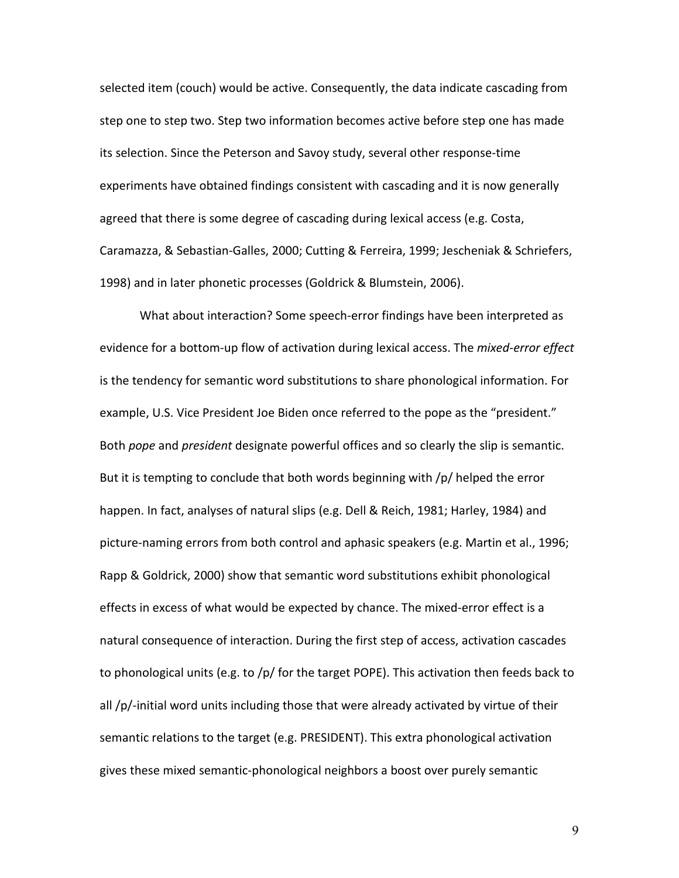selected item (couch) would be active. Consequently, the data indicate cascading from step one to step two. Step two information becomes active before step one has made its selection. Since the Peterson and Savoy study, several other response-time experiments have obtained findings consistent with cascading and it is now generally agreed that there is some degree of cascading during lexical access (e.g. Costa, Caramazza, & Sebastian-Galles, 2000; Cutting & Ferreira, 1999; Jescheniak & Schriefers, 1998) and in later phonetic processes (Goldrick & Blumstein, 2006).

What about interaction? Some speech-error findings have been interpreted as evidence for a bottom-up flow of activation during lexical access. The *mixed-error effect* is the tendency for semantic word substitutions to share phonological information. For example, U.S. Vice President Joe Biden once referred to the pope as the "president." Both *pope* and *president* designate powerful offices and so clearly the slip is semantic. But it is tempting to conclude that both words beginning with /p/ helped the error happen. In fact, analyses of natural slips (e.g. Dell & Reich, 1981; Harley, 1984) and picture-naming errors from both control and aphasic speakers (e.g. Martin et al., 1996; Rapp & Goldrick, 2000) show that semantic word substitutions exhibit phonological effects in excess of what would be expected by chance. The mixed-error effect is a natural consequence of interaction. During the first step of access, activation cascades to phonological units (e.g. to /p/ for the target POPE). This activation then feeds back to all /p/-initial word units including those that were already activated by virtue of their semantic relations to the target (e.g. PRESIDENT). This extra phonological activation gives these mixed semantic-phonological neighbors a boost over purely semantic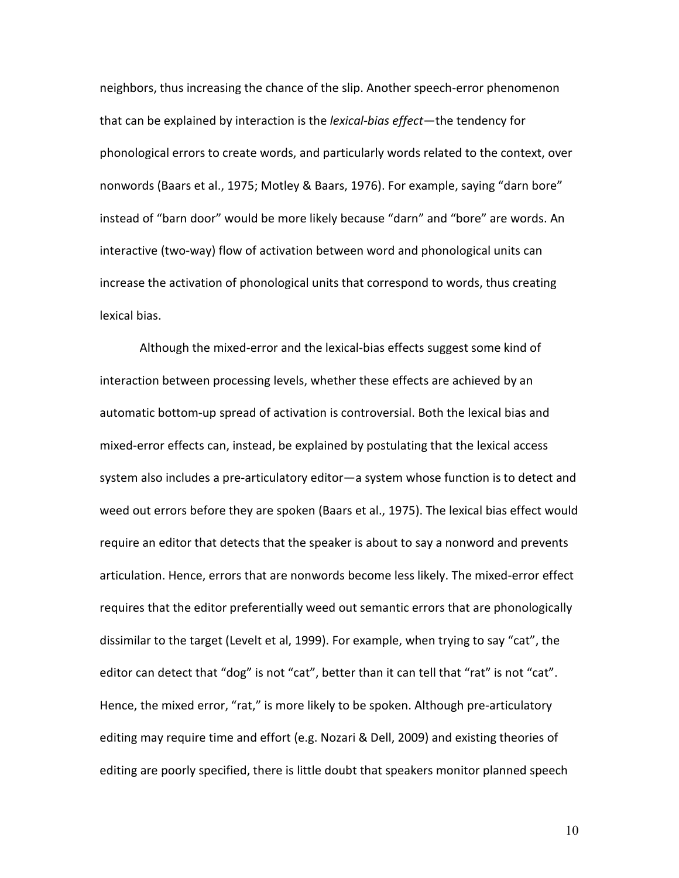neighbors, thus increasing the chance of the slip. Another speech-error phenomenon that can be explained by interaction is the *lexical-bias effect*—the tendency for phonological errors to create words, and particularly words related to the context, over nonwords (Baars et al., 1975; Motley & Baars, 1976). For example, saying "darn bore" instead of "barn door" would be more likely because "darn" and "bore" are words. An interactive (two-way) flow of activation between word and phonological units can increase the activation of phonological units that correspond to words, thus creating lexical bias.

Although the mixed-error and the lexical-bias effects suggest some kind of interaction between processing levels, whether these effects are achieved by an automatic bottom-up spread of activation is controversial. Both the lexical bias and mixed-error effects can, instead, be explained by postulating that the lexical access system also includes a pre-articulatory editor—a system whose function is to detect and weed out errors before they are spoken (Baars et al., 1975). The lexical bias effect would require an editor that detects that the speaker is about to say a nonword and prevents articulation. Hence, errors that are nonwords become less likely. The mixed-error effect requires that the editor preferentially weed out semantic errors that are phonologically dissimilar to the target (Levelt et al, 1999). For example, when trying to say "cat", the editor can detect that "dog" is not "cat", better than it can tell that "rat" is not "cat". Hence, the mixed error, "rat," is more likely to be spoken. Although pre-articulatory editing may require time and effort (e.g. Nozari & Dell, 2009) and existing theories of editing are poorly specified, there is little doubt that speakers monitor planned speech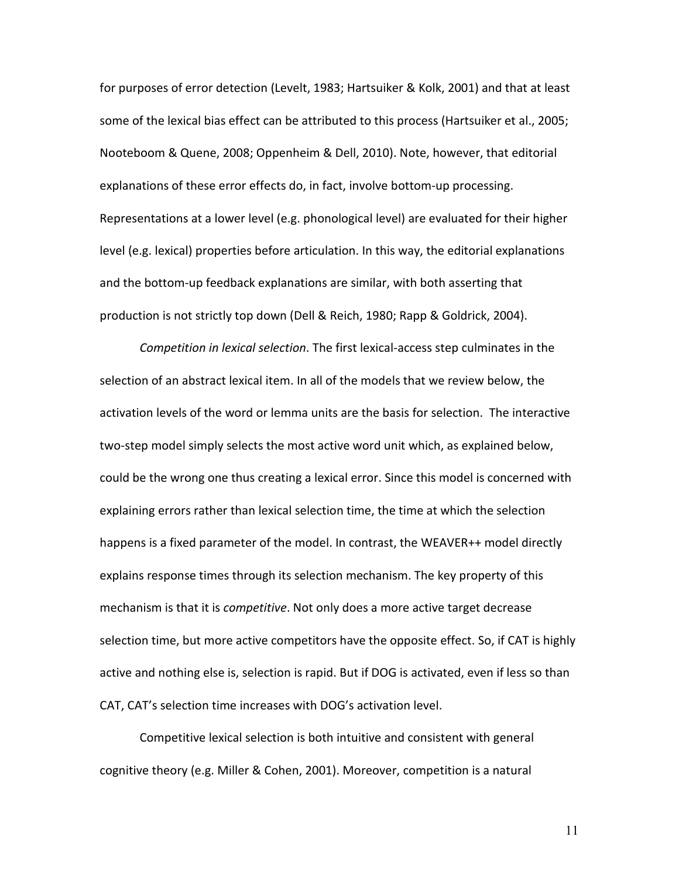for purposes of error detection (Levelt, 1983; Hartsuiker & Kolk, 2001) and that at least some of the lexical bias effect can be attributed to this process (Hartsuiker et al., 2005; Nooteboom & Quene, 2008; Oppenheim & Dell, 2010). Note, however, that editorial explanations of these error effects do, in fact, involve bottom-up processing. Representations at a lower level (e.g. phonological level) are evaluated for their higher level (e.g. lexical) properties before articulation. In this way, the editorial explanations and the bottom-up feedback explanations are similar, with both asserting that production is not strictly top down (Dell & Reich, 1980; Rapp & Goldrick, 2004).

*Competition in lexical selection*. The first lexical-access step culminates in the selection of an abstract lexical item. In all of the models that we review below, the activation levels of the word or lemma units are the basis for selection. The interactive two-step model simply selects the most active word unit which, as explained below, could be the wrong one thus creating a lexical error. Since this model is concerned with explaining errors rather than lexical selection time, the time at which the selection happens is a fixed parameter of the model. In contrast, the WEAVER++ model directly explains response times through its selection mechanism. The key property of this mechanism is that it is *competitive*. Not only does a more active target decrease selection time, but more active competitors have the opposite effect. So, if CAT is highly active and nothing else is, selection is rapid. But if DOG is activated, even if less so than CAT, CAT's selection time increases with DOG's activation level.

Competitive lexical selection is both intuitive and consistent with general cognitive theory (e.g. Miller & Cohen, 2001). Moreover, competition is a natural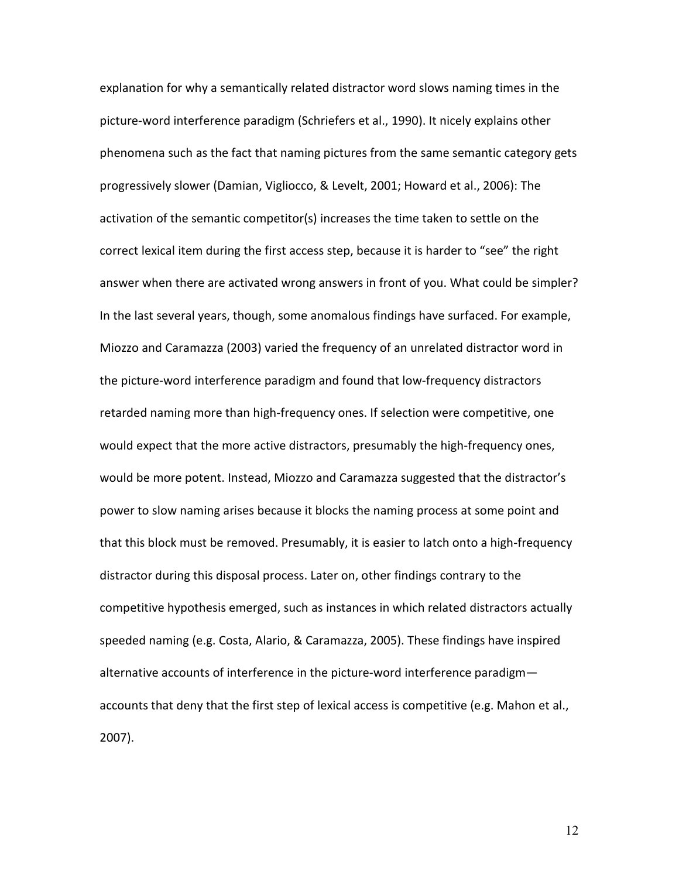explanation for why a semantically related distractor word slows naming times in the picture-word interference paradigm (Schriefers et al., 1990). It nicely explains other phenomena such as the fact that naming pictures from the same semantic category gets progressively slower (Damian, Vigliocco, & Levelt, 2001; Howard et al., 2006): The activation of the semantic competitor(s) increases the time taken to settle on the correct lexical item during the first access step, because it is harder to "see" the right answer when there are activated wrong answers in front of you. What could be simpler? In the last several years, though, some anomalous findings have surfaced. For example, Miozzo and Caramazza (2003) varied the frequency of an unrelated distractor word in the picture-word interference paradigm and found that low-frequency distractors retarded naming more than high-frequency ones. If selection were competitive, one would expect that the more active distractors, presumably the high-frequency ones, would be more potent. Instead, Miozzo and Caramazza suggested that the distractor's power to slow naming arises because it blocks the naming process at some point and that this block must be removed. Presumably, it is easier to latch onto a high-frequency distractor during this disposal process. Later on, other findings contrary to the competitive hypothesis emerged, such as instances in which related distractors actually speeded naming (e.g. Costa, Alario, & Caramazza, 2005). These findings have inspired alternative accounts of interference in the picture-word interference paradigm accounts that deny that the first step of lexical access is competitive (e.g. Mahon et al., 2007).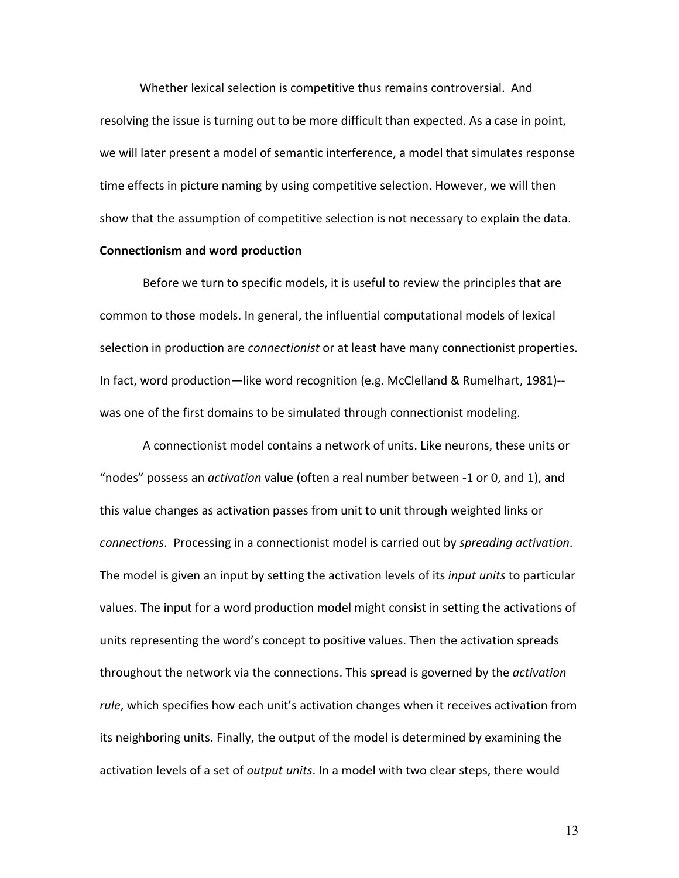Whether lexical selection is competitive thus remains controversial. And resolving the issue is turning out to be more difficult than expected. As a case in point, we will later present a model of semantic interference, a model that simulates response time effects in picture naming by using competitive selection. However, we will then show that the assumption of competitive selection is not necessary to explain the data.

# **Connectionism and word production**

Before we turn to specific models, it is useful to review the principles that are common to those models. In general, the influential computational models of lexical selection in production are *connectionist* or at least have many connectionist properties. In fact, word production—like word recognition (e.g. McClelland & Rumelhart, 1981)- was one of the first domains to be simulated through connectionist modeling.

A connectionist model contains a network of units. Like neurons, these units or "nodes" possess an *activation* value (often a real number between -1 or 0, and 1), and this value changes as activation passes from unit to unit through weighted links or *connections*. Processing in a connectionist model is carried out by *spreading activation*. The model is given an input by setting the activation levels of its *input units* to particular values. The input for a word production model might consist in setting the activations of units representing the word's concept to positive values. Then the activation spreads throughout the network via the connections. This spread is governed by the *activation rule*, which specifies how each unit's activation changes when it receives activation from its neighboring units. Finally, the output of the model is determined by examining the activation levels of a set of *output units*. In a model with two clear steps, there would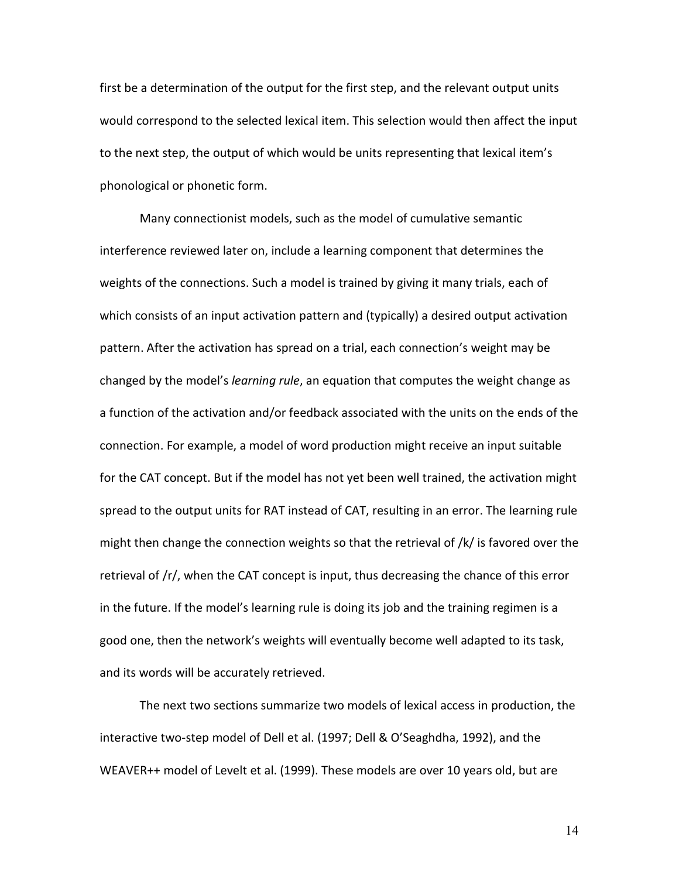first be a determination of the output for the first step, and the relevant output units would correspond to the selected lexical item. This selection would then affect the input to the next step, the output of which would be units representing that lexical item's phonological or phonetic form.

Many connectionist models, such as the model of cumulative semantic interference reviewed later on, include a learning component that determines the weights of the connections. Such a model is trained by giving it many trials, each of which consists of an input activation pattern and (typically) a desired output activation pattern. After the activation has spread on a trial, each connection's weight may be changed by the model's *learning rule*, an equation that computes the weight change as a function of the activation and/or feedback associated with the units on the ends of the connection. For example, a model of word production might receive an input suitable for the CAT concept. But if the model has not yet been well trained, the activation might spread to the output units for RAT instead of CAT, resulting in an error. The learning rule might then change the connection weights so that the retrieval of /k/ is favored over the retrieval of /r/, when the CAT concept is input, thus decreasing the chance of this error in the future. If the model's learning rule is doing its job and the training regimen is a good one, then the network's weights will eventually become well adapted to its task, and its words will be accurately retrieved.

The next two sections summarize two models of lexical access in production, the interactive two-step model of Dell et al. (1997; Dell & O'Seaghdha, 1992), and the WEAVER++ model of Levelt et al. (1999). These models are over 10 years old, but are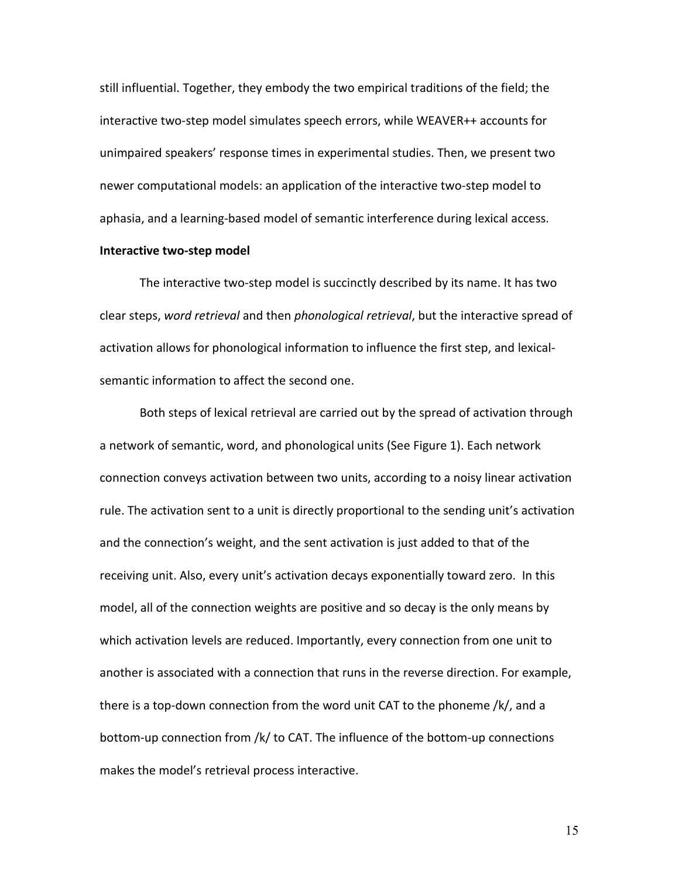still influential. Together, they embody the two empirical traditions of the field; the interactive two-step model simulates speech errors, while WEAVER++ accounts for unimpaired speakers' response times in experimental studies. Then, we present two newer computational models: an application of the interactive two-step model to aphasia, and a learning-based model of semantic interference during lexical access.

#### **Interactive two-step model**

The interactive two-step model is succinctly described by its name. It has two clear steps, *word retrieval* and then *phonological retrieval*, but the interactive spread of activation allows for phonological information to influence the first step, and lexicalsemantic information to affect the second one.

Both steps of lexical retrieval are carried out by the spread of activation through a network of semantic, word, and phonological units (See Figure 1). Each network connection conveys activation between two units, according to a noisy linear activation rule. The activation sent to a unit is directly proportional to the sending unit's activation and the connection's weight, and the sent activation is just added to that of the receiving unit. Also, every unit's activation decays exponentially toward zero. In this model, all of the connection weights are positive and so decay is the only means by which activation levels are reduced. Importantly, every connection from one unit to another is associated with a connection that runs in the reverse direction. For example, there is a top-down connection from the word unit CAT to the phoneme /k/, and a bottom-up connection from /k/ to CAT. The influence of the bottom-up connections makes the model's retrieval process interactive.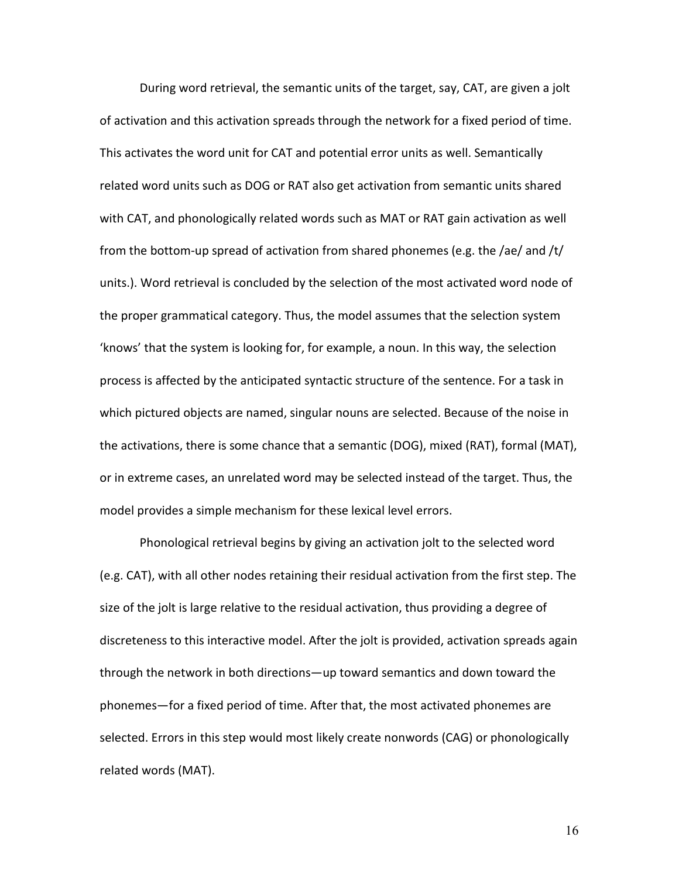During word retrieval, the semantic units of the target, say, CAT, are given a jolt of activation and this activation spreads through the network for a fixed period of time. This activates the word unit for CAT and potential error units as well. Semantically related word units such as DOG or RAT also get activation from semantic units shared with CAT, and phonologically related words such as MAT or RAT gain activation as well from the bottom-up spread of activation from shared phonemes (e.g. the /ae/ and /t/ units.). Word retrieval is concluded by the selection of the most activated word node of the proper grammatical category. Thus, the model assumes that the selection system 'knows' that the system is looking for, for example, a noun. In this way, the selection process is affected by the anticipated syntactic structure of the sentence. For a task in which pictured objects are named, singular nouns are selected. Because of the noise in the activations, there is some chance that a semantic (DOG), mixed (RAT), formal (MAT), or in extreme cases, an unrelated word may be selected instead of the target. Thus, the model provides a simple mechanism for these lexical level errors.

Phonological retrieval begins by giving an activation jolt to the selected word (e.g. CAT), with all other nodes retaining their residual activation from the first step. The size of the jolt is large relative to the residual activation, thus providing a degree of discreteness to this interactive model. After the jolt is provided, activation spreads again through the network in both directions—up toward semantics and down toward the phonemes—for a fixed period of time. After that, the most activated phonemes are selected. Errors in this step would most likely create nonwords (CAG) or phonologically related words (MAT).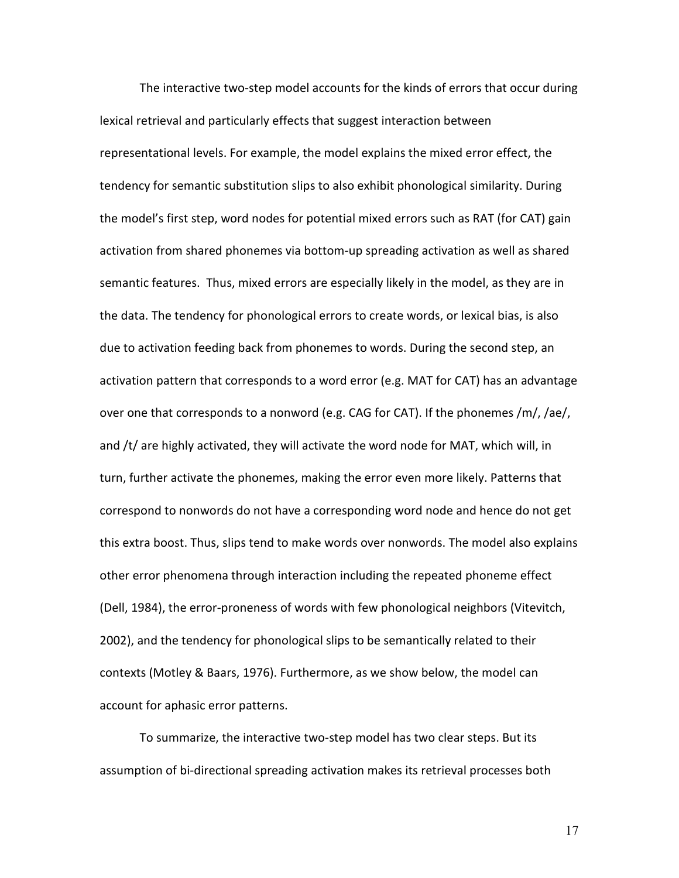The interactive two-step model accounts for the kinds of errors that occur during lexical retrieval and particularly effects that suggest interaction between representational levels. For example, the model explains the mixed error effect, the tendency for semantic substitution slips to also exhibit phonological similarity. During the model's first step, word nodes for potential mixed errors such as RAT (for CAT) gain activation from shared phonemes via bottom-up spreading activation as well as shared semantic features. Thus, mixed errors are especially likely in the model, as they are in the data. The tendency for phonological errors to create words, or lexical bias, is also due to activation feeding back from phonemes to words. During the second step, an activation pattern that corresponds to a word error (e.g. MAT for CAT) has an advantage over one that corresponds to a nonword (e.g. CAG for CAT). If the phonemes /m/, /ae/, and /t/ are highly activated, they will activate the word node for MAT, which will, in turn, further activate the phonemes, making the error even more likely. Patterns that correspond to nonwords do not have a corresponding word node and hence do not get this extra boost. Thus, slips tend to make words over nonwords. The model also explains other error phenomena through interaction including the repeated phoneme effect (Dell, 1984), the error-proneness of words with few phonological neighbors (Vitevitch, 2002), and the tendency for phonological slips to be semantically related to their contexts (Motley & Baars, 1976). Furthermore, as we show below, the model can account for aphasic error patterns.

To summarize, the interactive two-step model has two clear steps. But its assumption of bi-directional spreading activation makes its retrieval processes both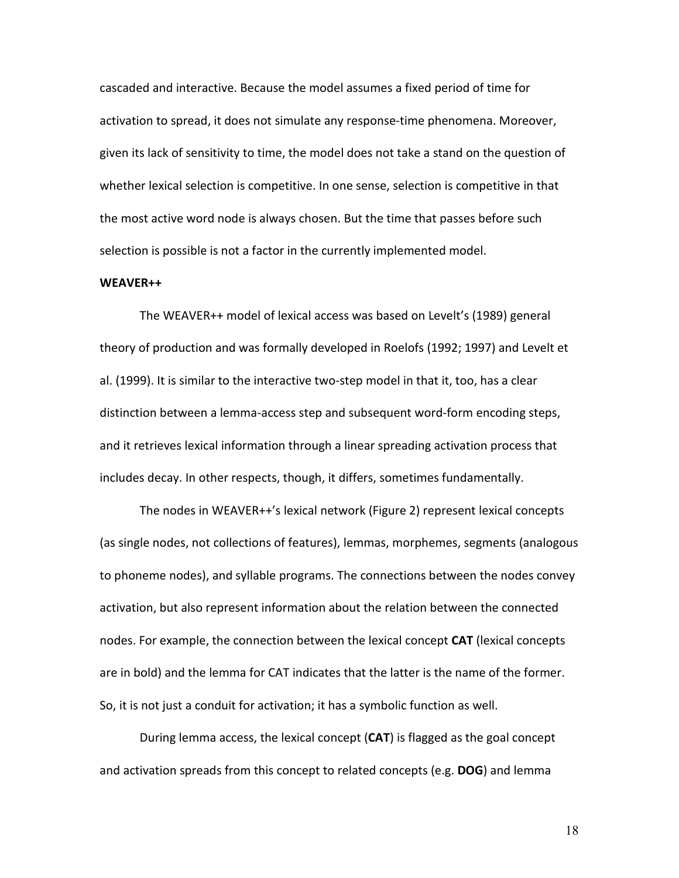cascaded and interactive. Because the model assumes a fixed period of time for activation to spread, it does not simulate any response-time phenomena. Moreover, given its lack of sensitivity to time, the model does not take a stand on the question of whether lexical selection is competitive. In one sense, selection is competitive in that the most active word node is always chosen. But the time that passes before such selection is possible is not a factor in the currently implemented model.

#### **WEAVER++**

The WEAVER++ model of lexical access was based on Levelt's (1989) general theory of production and was formally developed in Roelofs (1992; 1997) and Levelt et al. (1999). It is similar to the interactive two-step model in that it, too, has a clear distinction between a lemma-access step and subsequent word-form encoding steps, and it retrieves lexical information through a linear spreading activation process that includes decay. In other respects, though, it differs, sometimes fundamentally.

The nodes in WEAVER++'s lexical network (Figure 2) represent lexical concepts (as single nodes, not collections of features), lemmas, morphemes, segments (analogous to phoneme nodes), and syllable programs. The connections between the nodes convey activation, but also represent information about the relation between the connected nodes. For example, the connection between the lexical concept **CAT** (lexical concepts are in bold) and the lemma for CAT indicates that the latter is the name of the former. So, it is not just a conduit for activation; it has a symbolic function as well.

During lemma access, the lexical concept (**CAT**) is flagged as the goal concept and activation spreads from this concept to related concepts (e.g. **DOG**) and lemma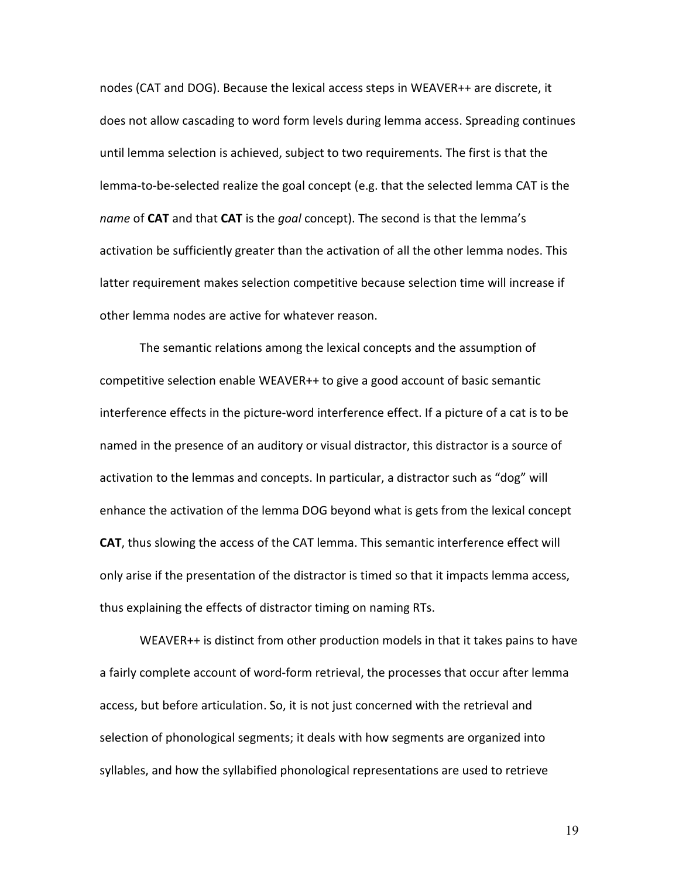nodes (CAT and DOG). Because the lexical access steps in WEAVER++ are discrete, it does not allow cascading to word form levels during lemma access. Spreading continues until lemma selection is achieved, subject to two requirements. The first is that the lemma-to-be-selected realize the goal concept (e.g. that the selected lemma CAT is the *name* of **CAT** and that **CAT** is the *goal* concept). The second is that the lemma's activation be sufficiently greater than the activation of all the other lemma nodes. This latter requirement makes selection competitive because selection time will increase if other lemma nodes are active for whatever reason.

The semantic relations among the lexical concepts and the assumption of competitive selection enable WEAVER++ to give a good account of basic semantic interference effects in the picture-word interference effect. If a picture of a cat is to be named in the presence of an auditory or visual distractor, this distractor is a source of activation to the lemmas and concepts. In particular, a distractor such as "dog" will enhance the activation of the lemma DOG beyond what is gets from the lexical concept **CAT**, thus slowing the access of the CAT lemma. This semantic interference effect will only arise if the presentation of the distractor is timed so that it impacts lemma access, thus explaining the effects of distractor timing on naming RTs.

WEAVER++ is distinct from other production models in that it takes pains to have a fairly complete account of word-form retrieval, the processes that occur after lemma access, but before articulation. So, it is not just concerned with the retrieval and selection of phonological segments; it deals with how segments are organized into syllables, and how the syllabified phonological representations are used to retrieve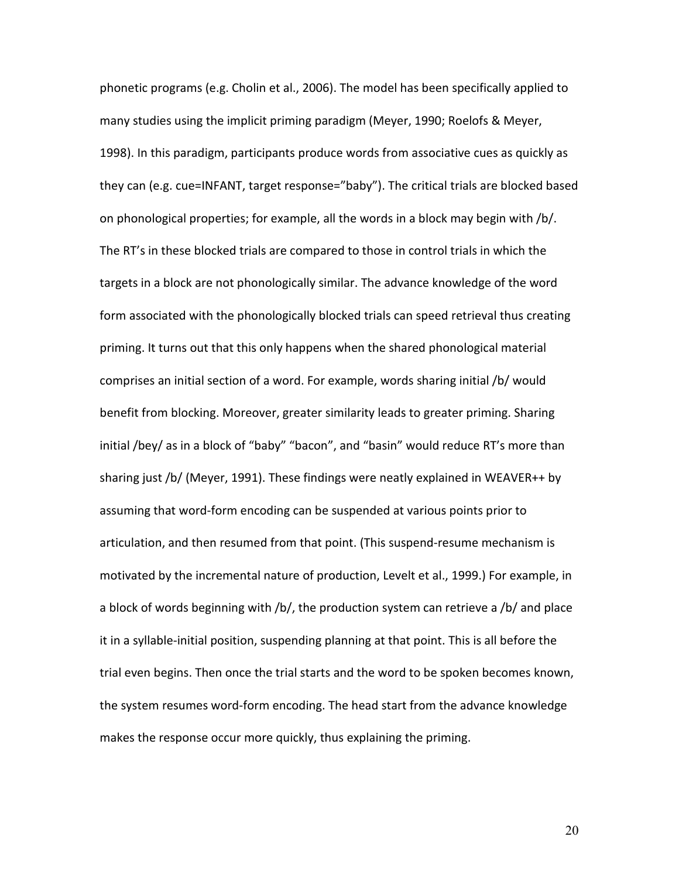phonetic programs (e.g. Cholin et al., 2006). The model has been specifically applied to many studies using the implicit priming paradigm (Meyer, 1990; Roelofs & Meyer, 1998). In this paradigm, participants produce words from associative cues as quickly as they can (e.g. cue=INFANT, target response="baby"). The critical trials are blocked based on phonological properties; for example, all the words in a block may begin with /b/. The RT's in these blocked trials are compared to those in control trials in which the targets in a block are not phonologically similar. The advance knowledge of the word form associated with the phonologically blocked trials can speed retrieval thus creating priming. It turns out that this only happens when the shared phonological material comprises an initial section of a word. For example, words sharing initial /b/ would benefit from blocking. Moreover, greater similarity leads to greater priming. Sharing initial /bey/ as in a block of "baby" "bacon", and "basin" would reduce RT's more than sharing just /b/ (Meyer, 1991). These findings were neatly explained in WEAVER++ by assuming that word-form encoding can be suspended at various points prior to articulation, and then resumed from that point. (This suspend-resume mechanism is motivated by the incremental nature of production, Levelt et al., 1999.) For example, in a block of words beginning with /b/, the production system can retrieve a /b/ and place it in a syllable-initial position, suspending planning at that point. This is all before the trial even begins. Then once the trial starts and the word to be spoken becomes known, the system resumes word-form encoding. The head start from the advance knowledge makes the response occur more quickly, thus explaining the priming.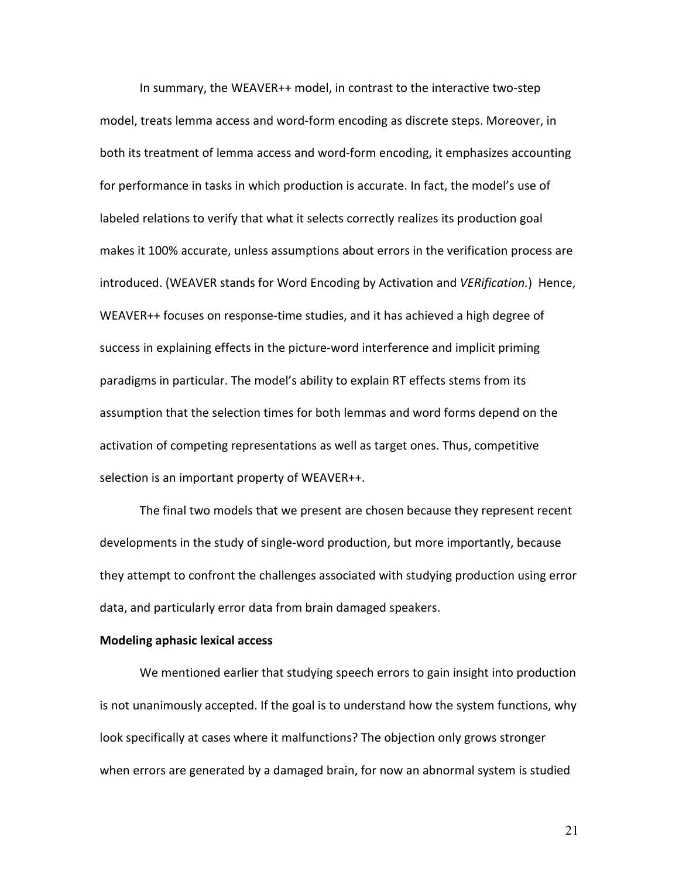In summary, the WEAVER++ model, in contrast to the interactive two-step model, treats lemma access and word-form encoding as discrete steps. Moreover, in both its treatment of lemma access and word-form encoding, it emphasizes accounting for performance in tasks in which production is accurate. In fact, the model's use of labeled relations to verify that what it selects correctly realizes its production goal makes it 100% accurate, unless assumptions about errors in the verification process are introduced. (WEAVER stands for Word Encoding by Activation and *VERification.*) Hence, WEAVER++ focuses on response-time studies, and it has achieved a high degree of success in explaining effects in the picture-word interference and implicit priming paradigms in particular. The model's ability to explain RT effects stems from its assumption that the selection times for both lemmas and word forms depend on the activation of competing representations as well as target ones. Thus, competitive selection is an important property of WEAVER++.

The final two models that we present are chosen because they represent recent developments in the study of single-word production, but more importantly, because they attempt to confront the challenges associated with studying production using error data, and particularly error data from brain damaged speakers.

# **Modeling aphasic lexical access**

We mentioned earlier that studying speech errors to gain insight into production is not unanimously accepted. If the goal is to understand how the system functions, why look specifically at cases where it malfunctions? The objection only grows stronger when errors are generated by a damaged brain, for now an abnormal system is studied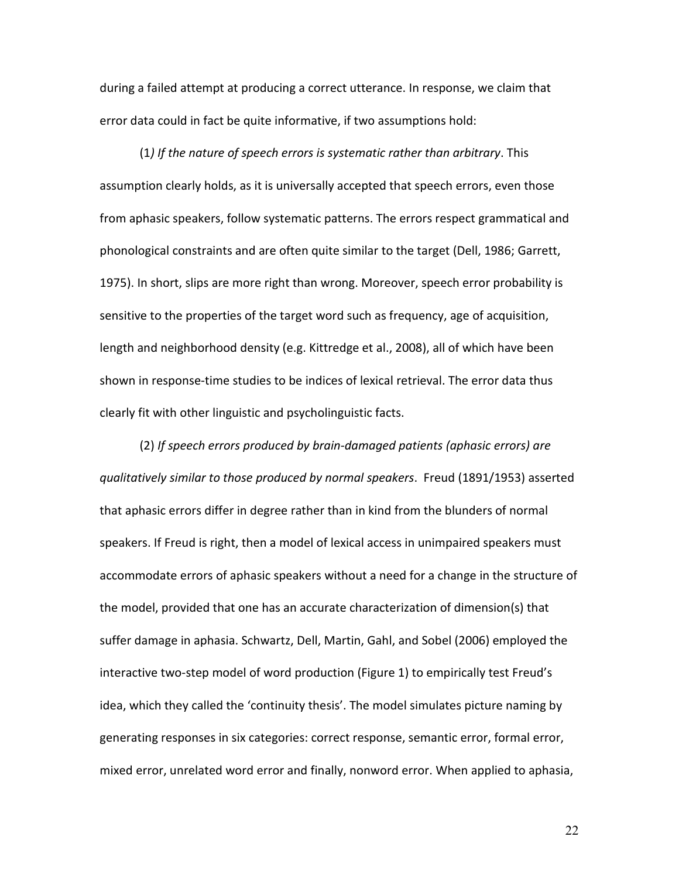during a failed attempt at producing a correct utterance. In response, we claim that error data could in fact be quite informative, if two assumptions hold:

(1*) If the nature of speech errors is systematic rather than arbitrary*. This assumption clearly holds, as it is universally accepted that speech errors, even those from aphasic speakers, follow systematic patterns. The errors respect grammatical and phonological constraints and are often quite similar to the target (Dell, 1986; Garrett, 1975). In short, slips are more right than wrong. Moreover, speech error probability is sensitive to the properties of the target word such as frequency, age of acquisition, length and neighborhood density (e.g. Kittredge et al., 2008), all of which have been shown in response-time studies to be indices of lexical retrieval. The error data thus clearly fit with other linguistic and psycholinguistic facts.

(2) *If speech errors produced by brain-damaged patients (aphasic errors) are qualitatively similar to those produced by normal speakers*. Freud (1891/1953) asserted that aphasic errors differ in degree rather than in kind from the blunders of normal speakers. If Freud is right, then a model of lexical access in unimpaired speakers must accommodate errors of aphasic speakers without a need for a change in the structure of the model, provided that one has an accurate characterization of dimension(s) that suffer damage in aphasia. Schwartz, Dell, Martin, Gahl, and Sobel (2006) employed the interactive two-step model of word production (Figure 1) to empirically test Freud's idea, which they called the 'continuity thesis'. The model simulates picture naming by generating responses in six categories: correct response, semantic error, formal error, mixed error, unrelated word error and finally, nonword error. When applied to aphasia,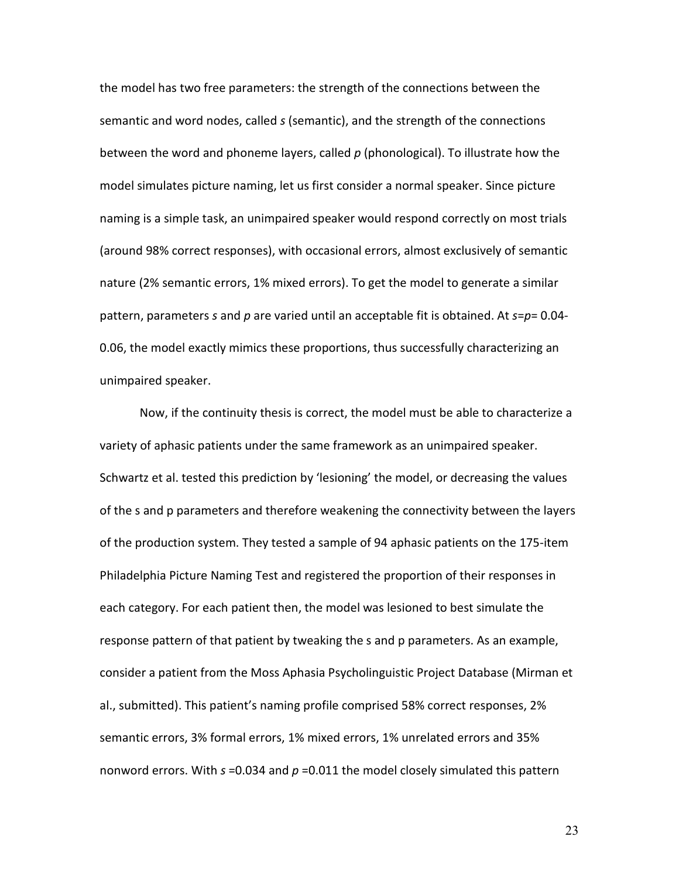the model has two free parameters: the strength of the connections between the semantic and word nodes, called *s* (semantic), and the strength of the connections between the word and phoneme layers, called *p* (phonological). To illustrate how the model simulates picture naming, let us first consider a normal speaker. Since picture naming is a simple task, an unimpaired speaker would respond correctly on most trials (around 98% correct responses), with occasional errors, almost exclusively of semantic nature (2% semantic errors, 1% mixed errors). To get the model to generate a similar pattern, parameters *s* and *p* are varied until an acceptable fit is obtained. At *s*=*p*= 0.04- 0.06, the model exactly mimics these proportions, thus successfully characterizing an unimpaired speaker.

Now, if the continuity thesis is correct, the model must be able to characterize a variety of aphasic patients under the same framework as an unimpaired speaker. Schwartz et al. tested this prediction by 'lesioning' the model, or decreasing the values of the s and p parameters and therefore weakening the connectivity between the layers of the production system. They tested a sample of 94 aphasic patients on the 175-item Philadelphia Picture Naming Test and registered the proportion of their responses in each category. For each patient then, the model was lesioned to best simulate the response pattern of that patient by tweaking the s and p parameters. As an example, consider a patient from the Moss Aphasia Psycholinguistic Project Database (Mirman et al., submitted). This patient's naming profile comprised 58% correct responses, 2% semantic errors, 3% formal errors, 1% mixed errors, 1% unrelated errors and 35% nonword errors. With *s* =0.034 and *p* =0.011 the model closely simulated this pattern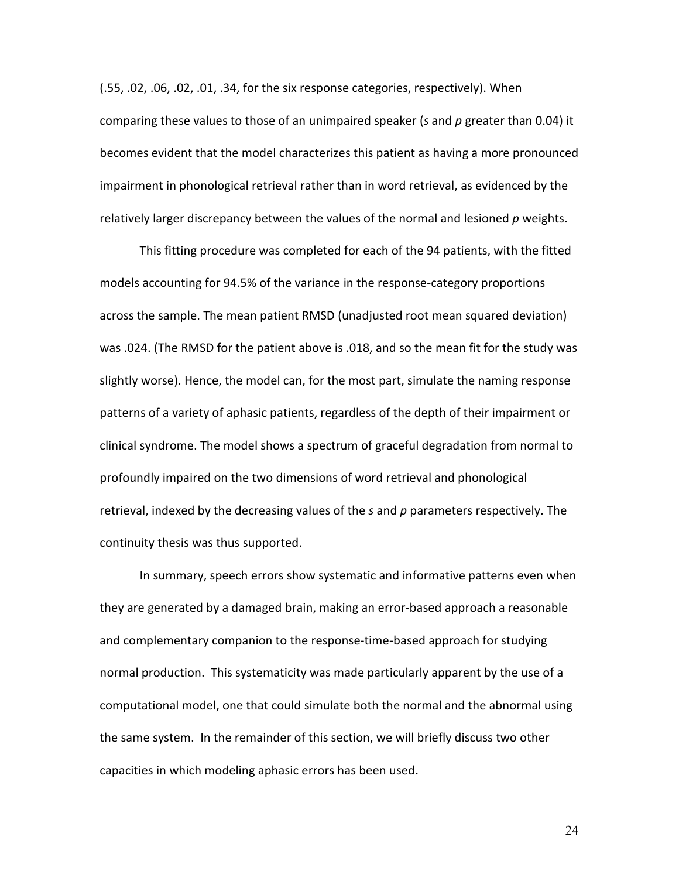(.55, .02, .06, .02, .01, .34, for the six response categories, respectively). When comparing these values to those of an unimpaired speaker (*s* and *p* greater than 0.04) it becomes evident that the model characterizes this patient as having a more pronounced impairment in phonological retrieval rather than in word retrieval, as evidenced by the relatively larger discrepancy between the values of the normal and lesioned *p* weights.

This fitting procedure was completed for each of the 94 patients, with the fitted models accounting for 94.5% of the variance in the response-category proportions across the sample. The mean patient RMSD (unadjusted root mean squared deviation) was .024. (The RMSD for the patient above is .018, and so the mean fit for the study was slightly worse). Hence, the model can, for the most part, simulate the naming response patterns of a variety of aphasic patients, regardless of the depth of their impairment or clinical syndrome. The model shows a spectrum of graceful degradation from normal to profoundly impaired on the two dimensions of word retrieval and phonological retrieval, indexed by the decreasing values of the *s* and *p* parameters respectively. The continuity thesis was thus supported.

In summary, speech errors show systematic and informative patterns even when they are generated by a damaged brain, making an error-based approach a reasonable and complementary companion to the response-time-based approach for studying normal production. This systematicity was made particularly apparent by the use of a computational model, one that could simulate both the normal and the abnormal using the same system. In the remainder of this section, we will briefly discuss two other capacities in which modeling aphasic errors has been used.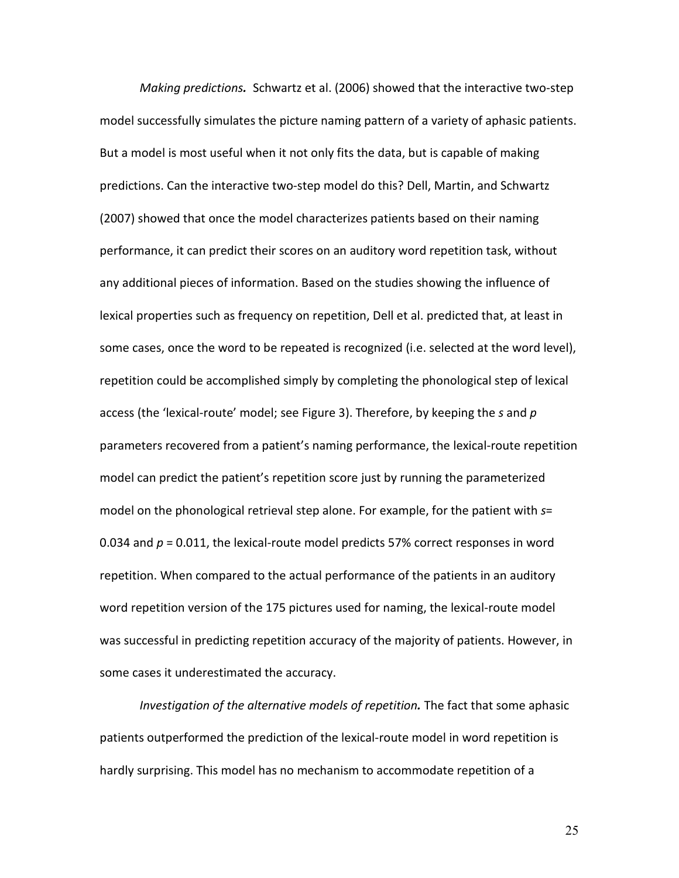*Making predictions.* Schwartz et al. (2006) showed that the interactive two-step model successfully simulates the picture naming pattern of a variety of aphasic patients. But a model is most useful when it not only fits the data, but is capable of making predictions. Can the interactive two-step model do this? Dell, Martin, and Schwartz (2007) showed that once the model characterizes patients based on their naming performance, it can predict their scores on an auditory word repetition task, without any additional pieces of information. Based on the studies showing the influence of lexical properties such as frequency on repetition, Dell et al. predicted that, at least in some cases, once the word to be repeated is recognized (i.e. selected at the word level), repetition could be accomplished simply by completing the phonological step of lexical access (the 'lexical-route' model; see Figure 3). Therefore, by keeping the *s* and *p*  parameters recovered from a patient's naming performance, the lexical-route repetition model can predict the patient's repetition score just by running the parameterized model on the phonological retrieval step alone. For example, for the patient with *s*= 0.034 and  $p = 0.011$ , the lexical-route model predicts 57% correct responses in word repetition. When compared to the actual performance of the patients in an auditory word repetition version of the 175 pictures used for naming, the lexical-route model was successful in predicting repetition accuracy of the majority of patients. However, in some cases it underestimated the accuracy.

*Investigation of the alternative models of repetition.* The fact that some aphasic patients outperformed the prediction of the lexical-route model in word repetition is hardly surprising. This model has no mechanism to accommodate repetition of a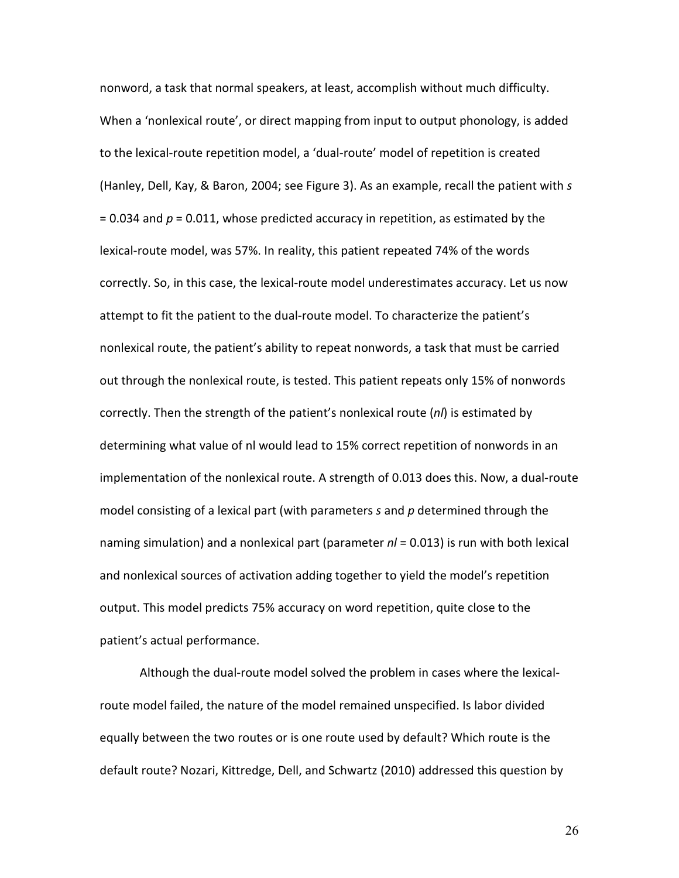nonword, a task that normal speakers, at least, accomplish without much difficulty. When a 'nonlexical route', or direct mapping from input to output phonology, is added to the lexical-route repetition model, a 'dual-route' model of repetition is created (Hanley, Dell, Kay, & Baron, 2004; see Figure 3). As an example, recall the patient with *s*  $= 0.034$  and  $p = 0.011$ , whose predicted accuracy in repetition, as estimated by the lexical-route model, was 57%. In reality, this patient repeated 74% of the words correctly. So, in this case, the lexical-route model underestimates accuracy. Let us now attempt to fit the patient to the dual-route model. To characterize the patient's nonlexical route, the patient's ability to repeat nonwords, a task that must be carried out through the nonlexical route, is tested. This patient repeats only 15% of nonwords correctly. Then the strength of the patient's nonlexical route (*nl*) is estimated by determining what value of nl would lead to 15% correct repetition of nonwords in an implementation of the nonlexical route. A strength of 0.013 does this. Now, a dual-route model consisting of a lexical part (with parameters *s* and *p* determined through the naming simulation) and a nonlexical part (parameter *nl* = 0.013) is run with both lexical and nonlexical sources of activation adding together to yield the model's repetition output. This model predicts 75% accuracy on word repetition, quite close to the patient's actual performance.

Although the dual-route model solved the problem in cases where the lexicalroute model failed, the nature of the model remained unspecified. Is labor divided equally between the two routes or is one route used by default? Which route is the default route? Nozari, Kittredge, Dell, and Schwartz (2010) addressed this question by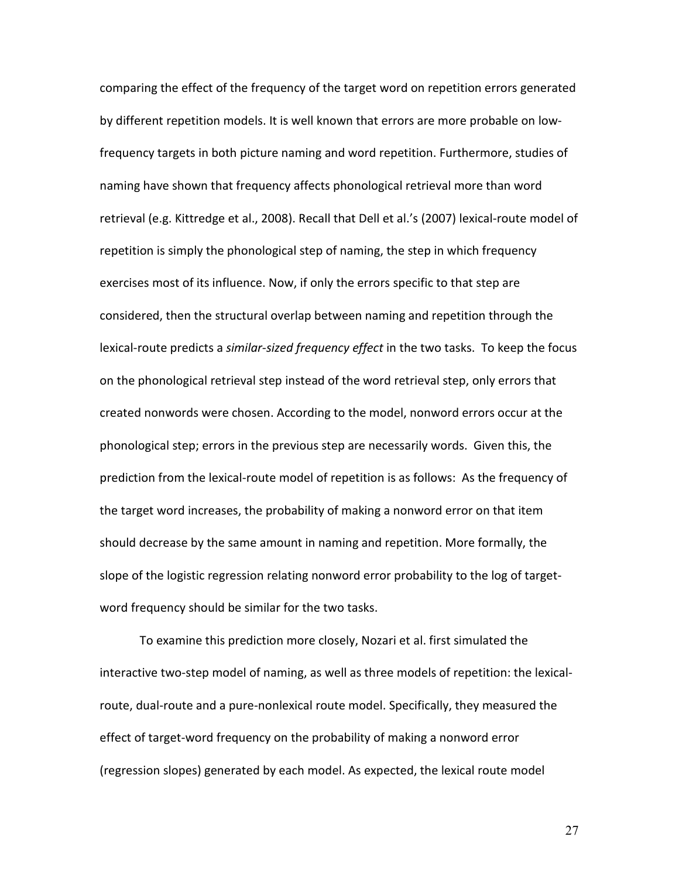comparing the effect of the frequency of the target word on repetition errors generated by different repetition models. It is well known that errors are more probable on lowfrequency targets in both picture naming and word repetition. Furthermore, studies of naming have shown that frequency affects phonological retrieval more than word retrieval (e.g. Kittredge et al., 2008). Recall that Dell et al.'s (2007) lexical-route model of repetition is simply the phonological step of naming, the step in which frequency exercises most of its influence. Now, if only the errors specific to that step are considered, then the structural overlap between naming and repetition through the lexical-route predicts a *similar-sized frequency effect* in the two tasks. To keep the focus on the phonological retrieval step instead of the word retrieval step, only errors that created nonwords were chosen. According to the model, nonword errors occur at the phonological step; errors in the previous step are necessarily words. Given this, the prediction from the lexical-route model of repetition is as follows: As the frequency of the target word increases, the probability of making a nonword error on that item should decrease by the same amount in naming and repetition. More formally, the slope of the logistic regression relating nonword error probability to the log of targetword frequency should be similar for the two tasks.

To examine this prediction more closely, Nozari et al. first simulated the interactive two-step model of naming, as well as three models of repetition: the lexicalroute, dual-route and a pure-nonlexical route model. Specifically, they measured the effect of target-word frequency on the probability of making a nonword error (regression slopes) generated by each model. As expected, the lexical route model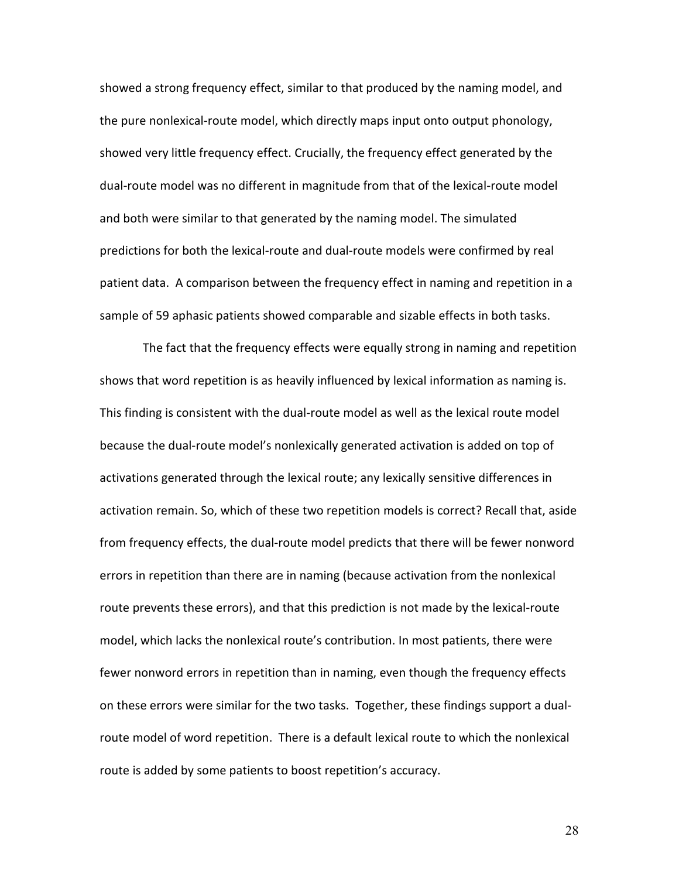showed a strong frequency effect, similar to that produced by the naming model, and the pure nonlexical-route model, which directly maps input onto output phonology, showed very little frequency effect. Crucially, the frequency effect generated by the dual-route model was no different in magnitude from that of the lexical-route model and both were similar to that generated by the naming model. The simulated predictions for both the lexical-route and dual-route models were confirmed by real patient data. A comparison between the frequency effect in naming and repetition in a sample of 59 aphasic patients showed comparable and sizable effects in both tasks.

The fact that the frequency effects were equally strong in naming and repetition shows that word repetition is as heavily influenced by lexical information as naming is. This finding is consistent with the dual-route model as well as the lexical route model because the dual-route model's nonlexically generated activation is added on top of activations generated through the lexical route; any lexically sensitive differences in activation remain. So, which of these two repetition models is correct? Recall that, aside from frequency effects, the dual-route model predicts that there will be fewer nonword errors in repetition than there are in naming (because activation from the nonlexical route prevents these errors), and that this prediction is not made by the lexical-route model, which lacks the nonlexical route's contribution. In most patients, there were fewer nonword errors in repetition than in naming, even though the frequency effects on these errors were similar for the two tasks. Together, these findings support a dualroute model of word repetition. There is a default lexical route to which the nonlexical route is added by some patients to boost repetition's accuracy.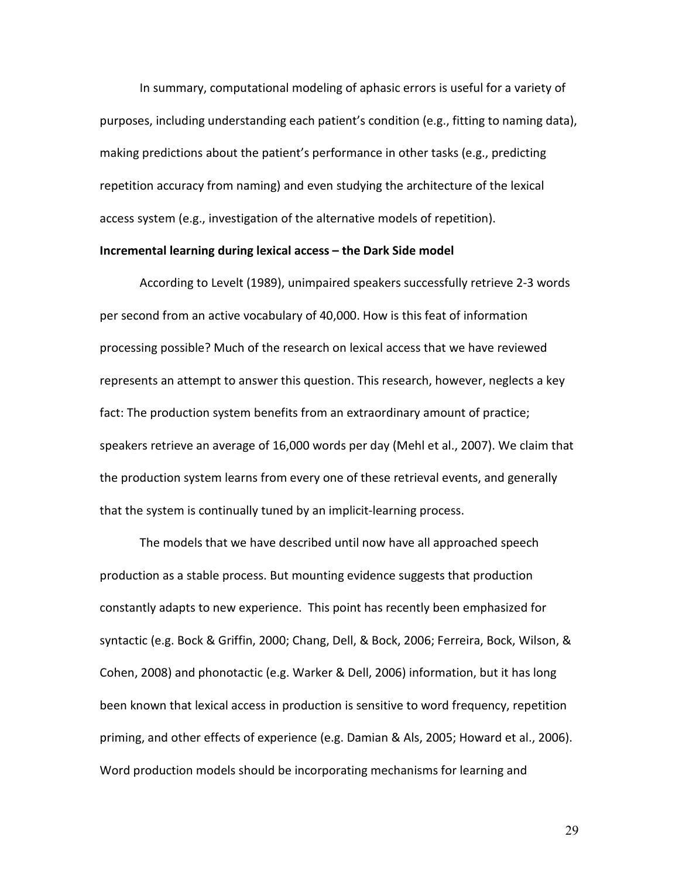In summary, computational modeling of aphasic errors is useful for a variety of purposes, including understanding each patient's condition (e.g., fitting to naming data), making predictions about the patient's performance in other tasks (e.g., predicting repetition accuracy from naming) and even studying the architecture of the lexical access system (e.g., investigation of the alternative models of repetition).

#### **Incremental learning during lexical access – the Dark Side model**

According to Levelt (1989), unimpaired speakers successfully retrieve 2-3 words per second from an active vocabulary of 40,000. How is this feat of information processing possible? Much of the research on lexical access that we have reviewed represents an attempt to answer this question. This research, however, neglects a key fact: The production system benefits from an extraordinary amount of practice; speakers retrieve an average of 16,000 words per day (Mehl et al., 2007). We claim that the production system learns from every one of these retrieval events, and generally that the system is continually tuned by an implicit-learning process.

The models that we have described until now have all approached speech production as a stable process. But mounting evidence suggests that production constantly adapts to new experience. This point has recently been emphasized for syntactic (e.g. Bock & Griffin, 2000; Chang, Dell, & Bock, 2006; Ferreira, Bock, Wilson, & Cohen, 2008) and phonotactic (e.g. Warker & Dell, 2006) information, but it has long been known that lexical access in production is sensitive to word frequency, repetition priming, and other effects of experience (e.g. Damian & Als, 2005; Howard et al., 2006). Word production models should be incorporating mechanisms for learning and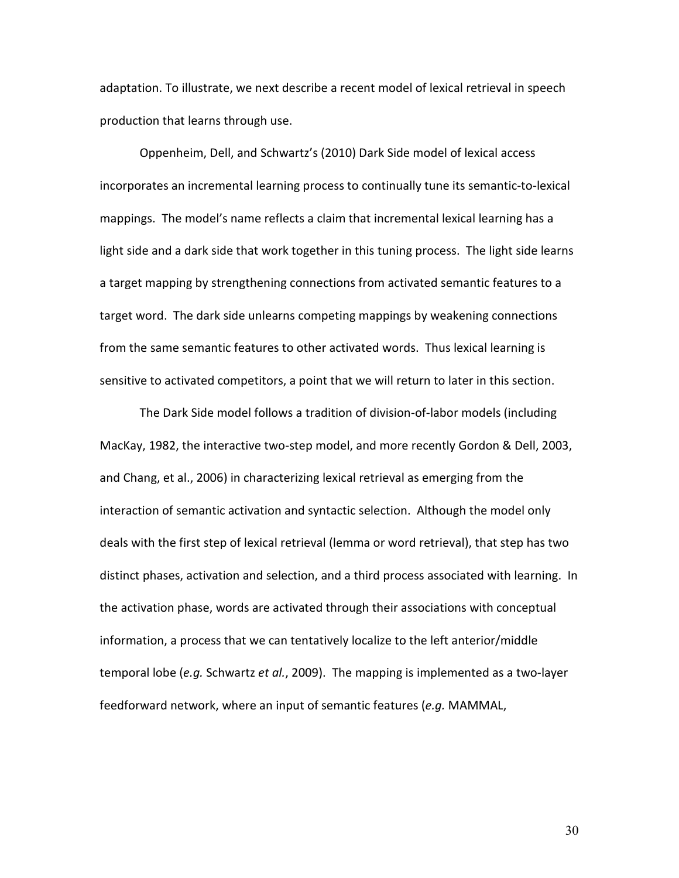adaptation. To illustrate, we next describe a recent model of lexical retrieval in speech production that learns through use.

Oppenheim, Dell, and Schwartz's (2010) Dark Side model of lexical access incorporates an incremental learning process to continually tune its semantic-to-lexical mappings. The model's name reflects a claim that incremental lexical learning has a light side and a dark side that work together in this tuning process. The light side learns a target mapping by strengthening connections from activated semantic features to a target word. The dark side unlearns competing mappings by weakening connections from the same semantic features to other activated words. Thus lexical learning is sensitive to activated competitors, a point that we will return to later in this section.

The Dark Side model follows a tradition of division-of-labor models (including MacKay, 1982, the interactive two-step model, and more recently Gordon & Dell, 2003, and Chang, et al., 2006) in characterizing lexical retrieval as emerging from the interaction of semantic activation and syntactic selection. Although the model only deals with the first step of lexical retrieval (lemma or word retrieval), that step has two distinct phases, activation and selection, and a third process associated with learning. In the activation phase, words are activated through their associations with conceptual information, a process that we can tentatively localize to the left anterior/middle temporal lobe (*e.g.* Schwartz *et al.*, 2009). The mapping is implemented as a two-layer feedforward network, where an input of semantic features (*e.g.* MAMMAL,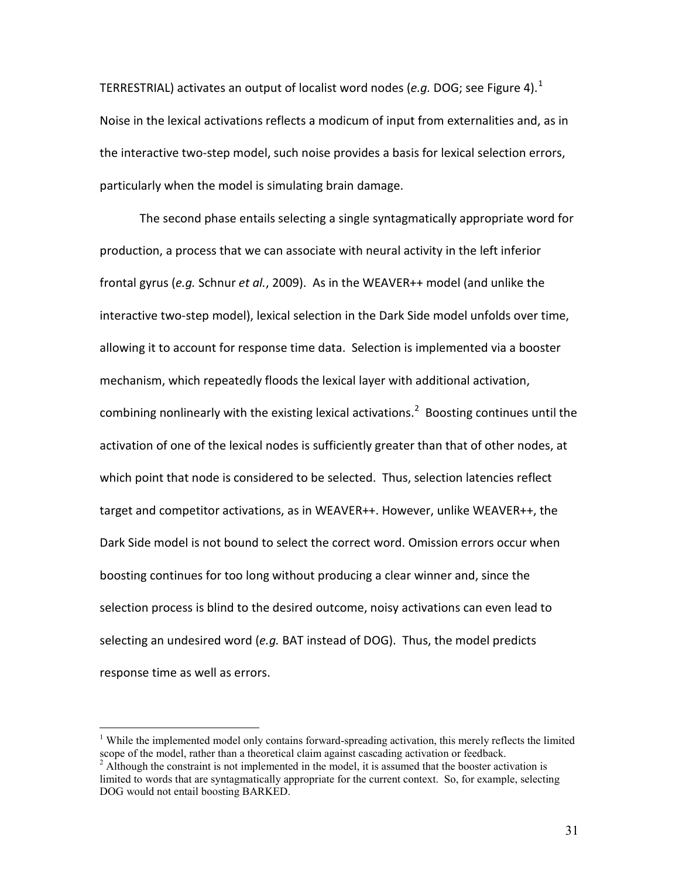TERRESTRIAL) activates an output of localist word nodes (*e.g.* DOG; see Figure 4).<sup>[1](#page-0-0)</sup> Noise in the lexical activations reflects a modicum of input from externalities and, as in the interactive two-step model, such noise provides a basis for lexical selection errors, particularly when the model is simulating brain damage.

The second phase entails selecting a single syntagmatically appropriate word for production, a process that we can associate with neural activity in the left inferior frontal gyrus (*e.g.* Schnur *et al.*, 2009). As in the WEAVER++ model (and unlike the interactive two-step model), lexical selection in the Dark Side model unfolds over time, allowing it to account for response time data. Selection is implemented via a booster mechanism, which repeatedly floods the lexical layer with additional activation, combining nonlinearly with the existing lexical activations.<sup>[2](#page-30-0)</sup> Boosting continues until the activation of one of the lexical nodes is sufficiently greater than that of other nodes, at which point that node is considered to be selected. Thus, selection latencies reflect target and competitor activations, as in WEAVER++. However, unlike WEAVER++, the Dark Side model is not bound to select the correct word. Omission errors occur when boosting continues for too long without producing a clear winner and, since the selection process is blind to the desired outcome, noisy activations can even lead to selecting an undesired word (*e.g.* BAT instead of DOG). Thus, the model predicts response time as well as errors.

<sup>&</sup>lt;sup>1</sup> While the implemented model only contains forward-spreading activation, this merely reflects the limited scope of the model, rather than a theoretical claim against cascading activation or feedback.

<span id="page-30-0"></span><sup>&</sup>lt;sup>2</sup> Although the constraint is not implemented in the model, it is assumed that the booster activation is limited to words that are syntagmatically appropriate for the current context. So, for example, selecting DOG would not entail boosting BARKED.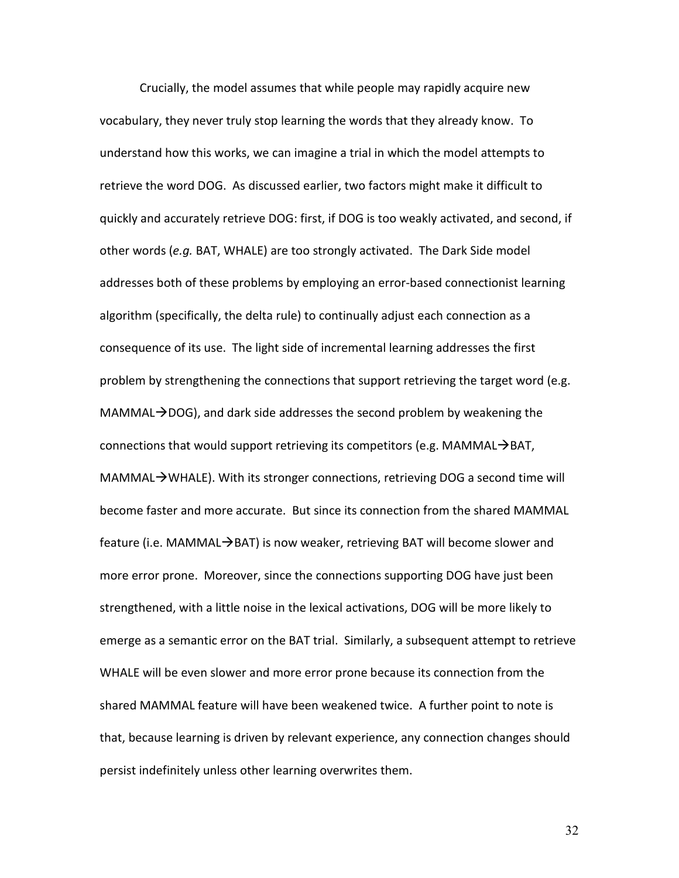Crucially, the model assumes that while people may rapidly acquire new vocabulary, they never truly stop learning the words that they already know. To understand how this works, we can imagine a trial in which the model attempts to retrieve the word DOG. As discussed earlier, two factors might make it difficult to quickly and accurately retrieve DOG: first, if DOG is too weakly activated, and second, if other words (*e.g.* BAT, WHALE) are too strongly activated. The Dark Side model addresses both of these problems by employing an error-based connectionist learning algorithm (specifically, the delta rule) to continually adjust each connection as a consequence of its use. The light side of incremental learning addresses the first problem by strengthening the connections that support retrieving the target word (e.g.  $MAMMAL $\rightarrow$  DOG), and dark side addresses the second problem by weakening the$ connections that would support retrieving its competitors (e.g. MAMMAL $\rightarrow$ BAT,  $MAMMAL \rightarrow WHALE$ ). With its stronger connections, retrieving DOG a second time will become faster and more accurate. But since its connection from the shared MAMMAL feature (i.e. MAMMAL->BAT) is now weaker, retrieving BAT will become slower and more error prone. Moreover, since the connections supporting DOG have just been strengthened, with a little noise in the lexical activations, DOG will be more likely to emerge as a semantic error on the BAT trial. Similarly, a subsequent attempt to retrieve WHALE will be even slower and more error prone because its connection from the shared MAMMAL feature will have been weakened twice. A further point to note is that, because learning is driven by relevant experience, any connection changes should persist indefinitely unless other learning overwrites them.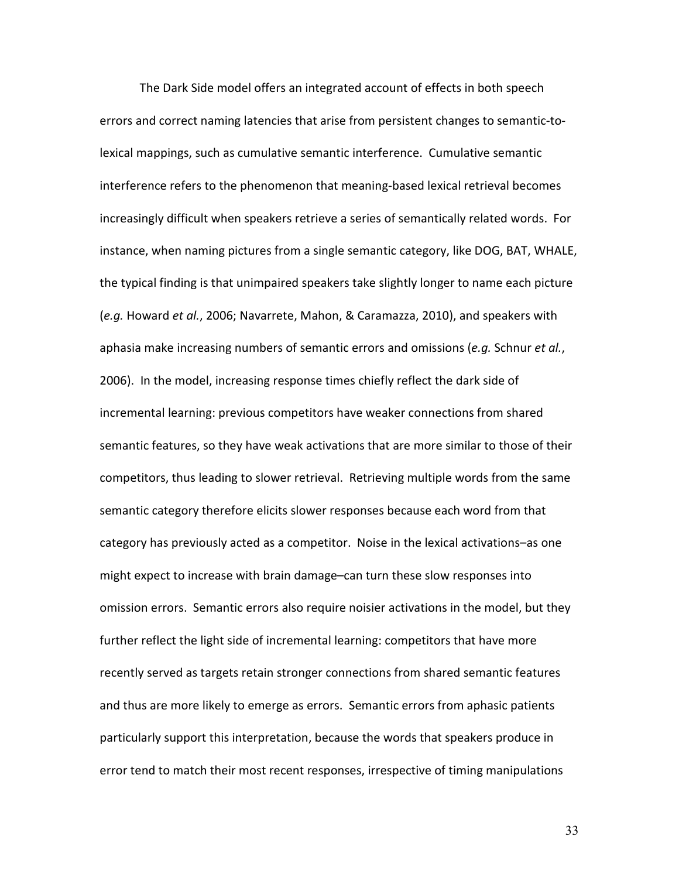The Dark Side model offers an integrated account of effects in both speech errors and correct naming latencies that arise from persistent changes to semantic-tolexical mappings, such as cumulative semantic interference. Cumulative semantic interference refers to the phenomenon that meaning-based lexical retrieval becomes increasingly difficult when speakers retrieve a series of semantically related words. For instance, when naming pictures from a single semantic category, like DOG, BAT, WHALE, the typical finding is that unimpaired speakers take slightly longer to name each picture (*e.g.* Howard *et al.*, 2006; Navarrete, Mahon, & Caramazza, 2010), and speakers with aphasia make increasing numbers of semantic errors and omissions (*e.g.* Schnur *et al.*, 2006). In the model, increasing response times chiefly reflect the dark side of incremental learning: previous competitors have weaker connections from shared semantic features, so they have weak activations that are more similar to those of their competitors, thus leading to slower retrieval. Retrieving multiple words from the same semantic category therefore elicits slower responses because each word from that category has previously acted as a competitor. Noise in the lexical activations–as one might expect to increase with brain damage–can turn these slow responses into omission errors. Semantic errors also require noisier activations in the model, but they further reflect the light side of incremental learning: competitors that have more recently served as targets retain stronger connections from shared semantic features and thus are more likely to emerge as errors. Semantic errors from aphasic patients particularly support this interpretation, because the words that speakers produce in error tend to match their most recent responses, irrespective of timing manipulations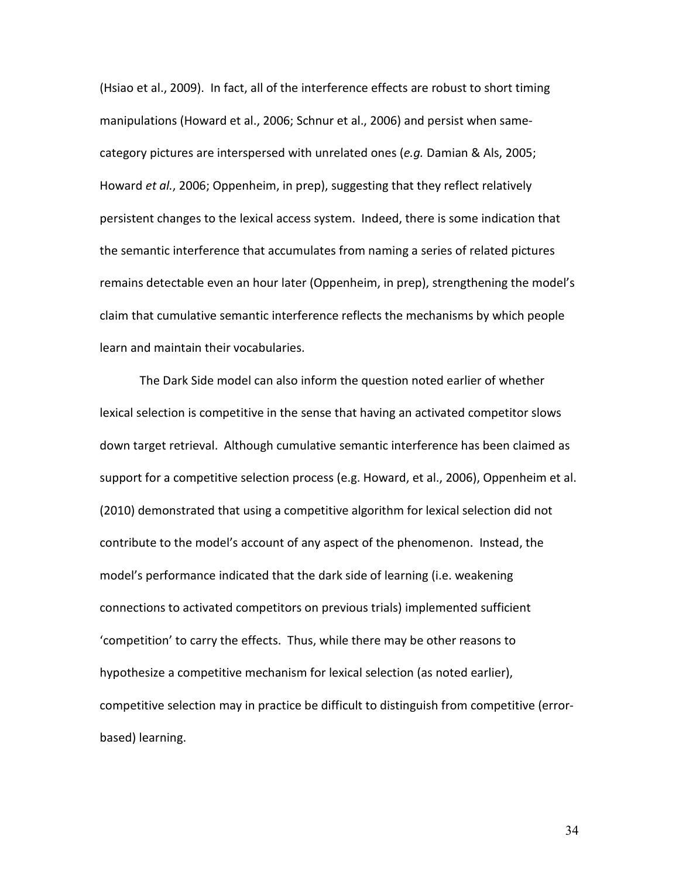(Hsiao et al., 2009). In fact, all of the interference effects are robust to short timing manipulations (Howard et al., 2006; Schnur et al., 2006) and persist when samecategory pictures are interspersed with unrelated ones (*e.g.* Damian & Als, 2005; Howard *et al.*, 2006; Oppenheim, in prep), suggesting that they reflect relatively persistent changes to the lexical access system. Indeed, there is some indication that the semantic interference that accumulates from naming a series of related pictures remains detectable even an hour later (Oppenheim, in prep), strengthening the model's claim that cumulative semantic interference reflects the mechanisms by which people learn and maintain their vocabularies.

The Dark Side model can also inform the question noted earlier of whether lexical selection is competitive in the sense that having an activated competitor slows down target retrieval. Although cumulative semantic interference has been claimed as support for a competitive selection process (e.g. Howard, et al., 2006), Oppenheim et al. (2010) demonstrated that using a competitive algorithm for lexical selection did not contribute to the model's account of any aspect of the phenomenon. Instead, the model's performance indicated that the dark side of learning (i.e. weakening connections to activated competitors on previous trials) implemented sufficient 'competition' to carry the effects. Thus, while there may be other reasons to hypothesize a competitive mechanism for lexical selection (as noted earlier), competitive selection may in practice be difficult to distinguish from competitive (errorbased) learning.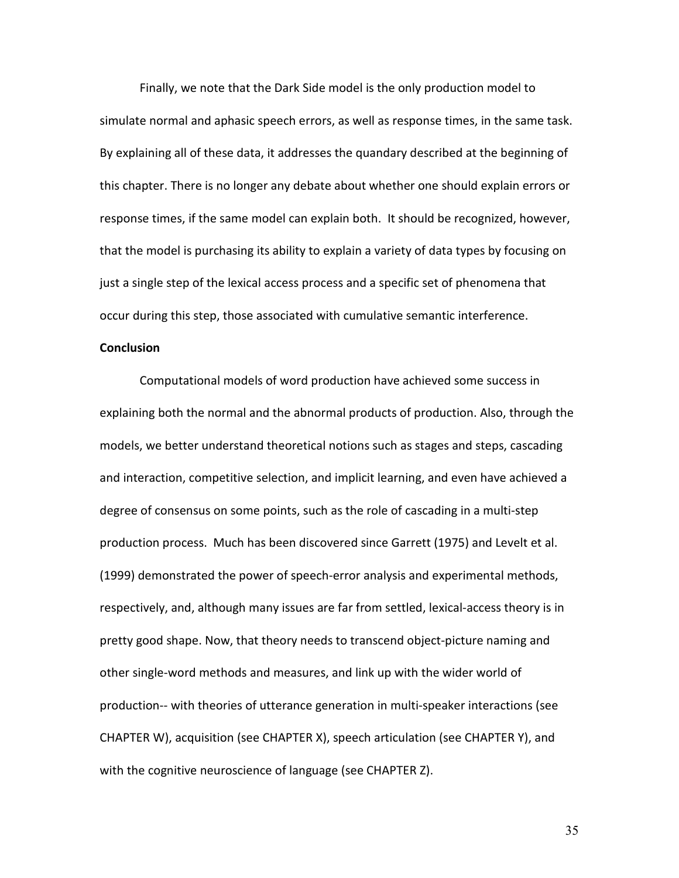Finally, we note that the Dark Side model is the only production model to simulate normal and aphasic speech errors, as well as response times, in the same task. By explaining all of these data, it addresses the quandary described at the beginning of this chapter. There is no longer any debate about whether one should explain errors or response times, if the same model can explain both. It should be recognized, however, that the model is purchasing its ability to explain a variety of data types by focusing on just a single step of the lexical access process and a specific set of phenomena that occur during this step, those associated with cumulative semantic interference.

### **Conclusion**

Computational models of word production have achieved some success in explaining both the normal and the abnormal products of production. Also, through the models, we better understand theoretical notions such as stages and steps, cascading and interaction, competitive selection, and implicit learning, and even have achieved a degree of consensus on some points, such as the role of cascading in a multi-step production process. Much has been discovered since Garrett (1975) and Levelt et al. (1999) demonstrated the power of speech-error analysis and experimental methods, respectively, and, although many issues are far from settled, lexical-access theory is in pretty good shape. Now, that theory needs to transcend object-picture naming and other single-word methods and measures, and link up with the wider world of production-- with theories of utterance generation in multi-speaker interactions (see CHAPTER W), acquisition (see CHAPTER X), speech articulation (see CHAPTER Y), and with the cognitive neuroscience of language (see CHAPTER Z).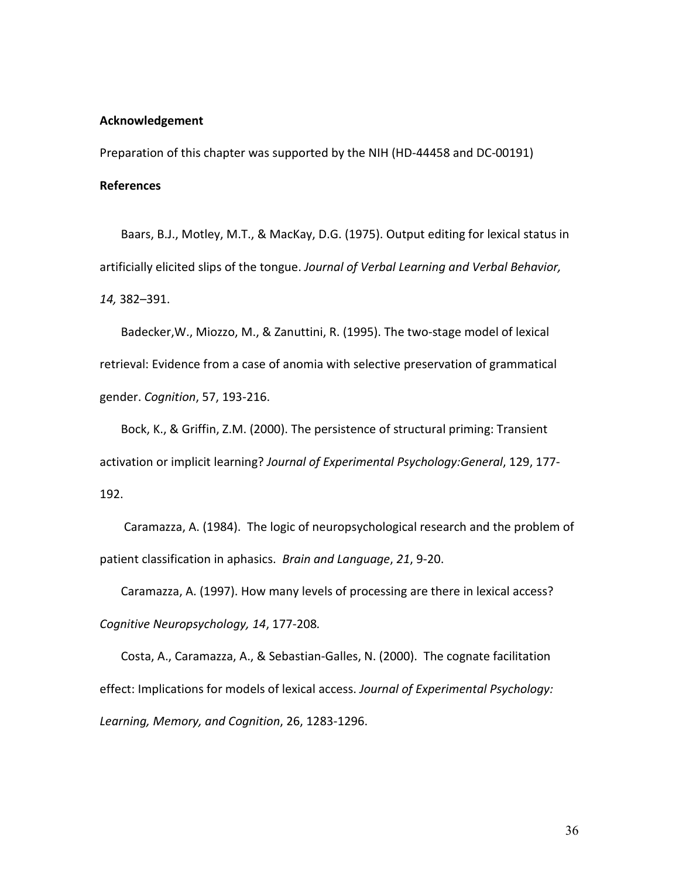#### **Acknowledgement**

Preparation of this chapter was supported by the NIH (HD-44458 and DC-00191)

### **References**

 Baars, B.J., Motley, M.T., & MacKay, D.G. (1975). Output editing for lexical status in artificially elicited slips of the tongue. *Journal of Verbal Learning and Verbal Behavior, 14,* 382–391.

 Badecker,W., Miozzo, M., & Zanuttini, R. (1995). The two-stage model of lexical retrieval: Evidence from a case of anomia with selective preservation of grammatical gender. *Cognition*, 57, 193-216.

 Bock, K., & Griffin, Z.M. (2000). The persistence of structural priming: Transient activation or implicit learning? *Journal of Experimental Psychology:General*, 129, 177- 192.

 Caramazza, A. (1984). The logic of neuropsychological research and the problem of patient classification in aphasics. *Brain and Language*, *21*, 9-20.

 Caramazza, A. (1997). How many levels of processing are there in lexical access? *Cognitive Neuropsychology, 14*, 177-208*.*

 Costa, A., Caramazza, A., & Sebastian-Galles, N. (2000). The cognate facilitation effect: Implications for models of lexical access. *Journal of Experimental Psychology: Learning, Memory, and Cognition*, 26, 1283-1296.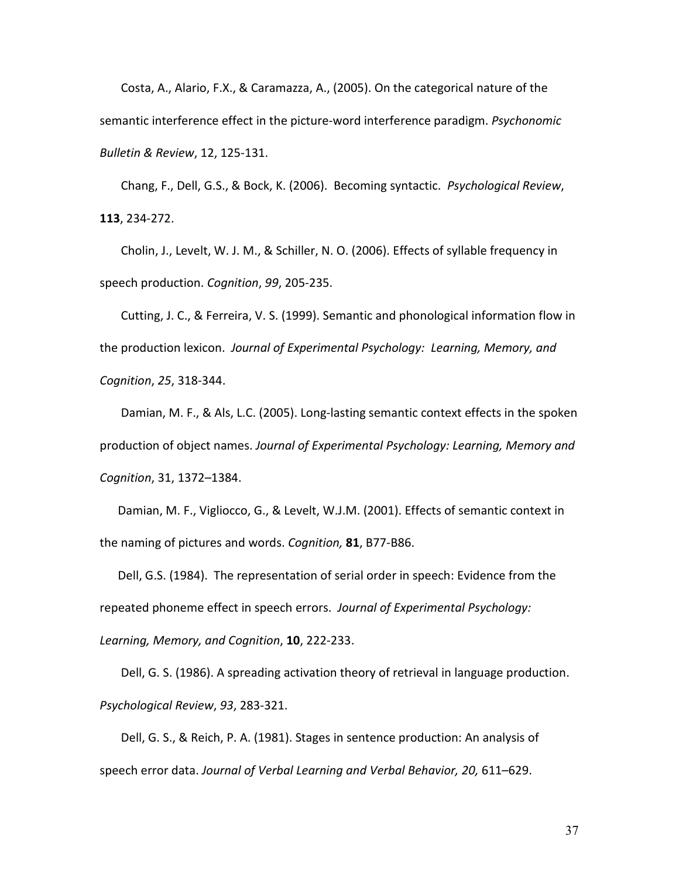Costa, A., Alario, F.X., & Caramazza, A., (2005). On the categorical nature of the semantic interference effect in the picture-word interference paradigm. *Psychonomic Bulletin & Review*, 12, 125-131.

 Chang, F., Dell, G.S., & Bock, K. (2006). Becoming syntactic. *Psychological Review*, **113**, 234-272.

 Cholin, J., Levelt, W. J. M., & Schiller, N. O. (2006). Effects of syllable frequency in speech production. *Cognition*, *99*, 205-235.

 Cutting, J. C., & Ferreira, V. S. (1999). Semantic and phonological information flow in the production lexicon. *Journal of Experimental Psychology: Learning, Memory, and Cognition*, *25*, 318-344.

 Damian, M. F., & Als, L.C. (2005). Long-lasting semantic context effects in the spoken production of object names. *Journal of Experimental Psychology: Learning, Memory and Cognition*, 31, 1372–1384.

 Damian, M. F., Vigliocco, G., & Levelt, W.J.M. (2001). Effects of semantic context in the naming of pictures and words. *Cognition,* **81**, B77-B86.

 Dell, G.S. (1984). The representation of serial order in speech: Evidence from the repeated phoneme effect in speech errors. *Journal of Experimental Psychology: Learning, Memory, and Cognition*, **10**, 222-233.

 Dell, G. S. (1986). A spreading activation theory of retrieval in language production. *Psychological Review*, *93*, 283-321.

 Dell, G. S., & Reich, P. A. (1981). Stages in sentence production: An analysis of speech error data. *Journal of Verbal Learning and Verbal Behavior, 20,* 611–629.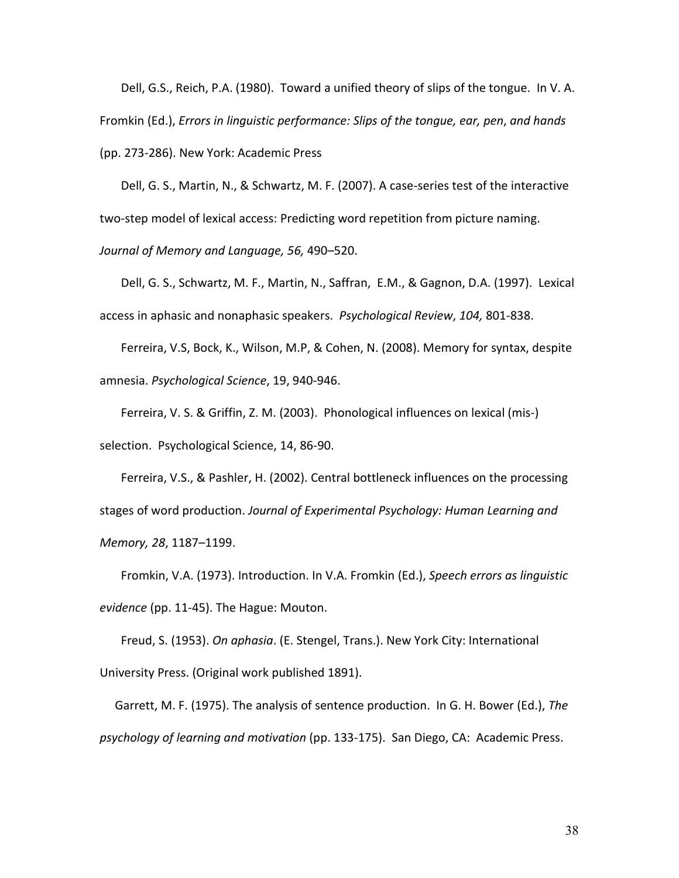Dell, G.S., Reich, P.A. (1980). Toward a unified theory of slips of the tongue. In V. A. Fromkin (Ed.), *Errors in linguistic performance: Slips of the tongue, ear, pen*, *and hands*

(pp. 273-286). New York: Academic Press

 Dell, G. S., Martin, N., & Schwartz, M. F. (2007). A case-series test of the interactive two-step model of lexical access: Predicting word repetition from picture naming. *Journal of Memory and Language, 56,* 490–520.

 Dell, G. S., Schwartz, M. F., Martin, N., Saffran, E.M., & Gagnon, D.A. (1997). Lexical access in aphasic and nonaphasic speakers. *Psychological Review*, *104,* 801-838.

 Ferreira, V.S, Bock, K., Wilson, M.P, & Cohen, N. (2008). Memory for syntax, despite amnesia. *Psychological Science*, 19, 940-946.

 Ferreira, V. S. & Griffin, Z. M. (2003). Phonological influences on lexical (mis-) selection. Psychological Science, 14, 86-90.

 Ferreira, V.S., & Pashler, H. (2002). Central bottleneck influences on the processing stages of word production. *Journal of Experimental Psychology: Human Learning and Memory, 28*, 1187–1199.

 Fromkin, V.A. (1973). Introduction. In V.A. Fromkin (Ed.), *Speech errors as linguistic evidence* (pp. 11-45). The Hague: Mouton.

 Freud, S. (1953). *On aphasia*. (E. Stengel, Trans.). New York City: International University Press. (Original work published 1891).

 Garrett, M. F. (1975). The analysis of sentence production. In G. H. Bower (Ed.), *The psychology of learning and motivation* (pp. 133-175). San Diego, CA: Academic Press.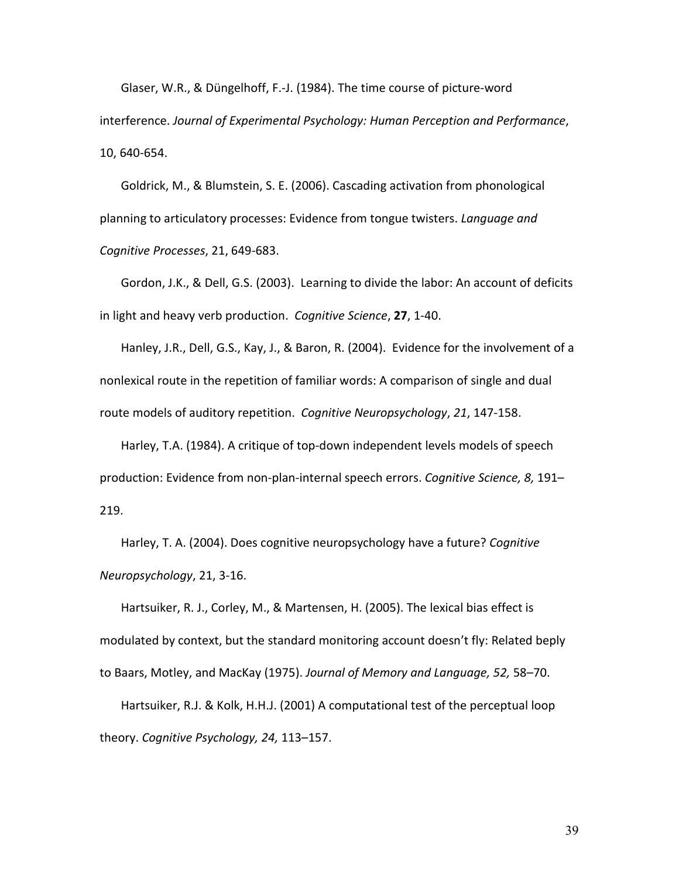Glaser, W.R., & Düngelhoff, F.-J. (1984). The time course of picture-word interference. *Journal of Experimental Psychology: Human Perception and Performance*, 10, 640-654.

 Goldrick, M., & Blumstein, S. E. (2006). Cascading activation from phonological planning to articulatory processes: Evidence from tongue twisters. *Language and Cognitive Processes*, 21, 649-683.

 Gordon, J.K., & Dell, G.S. (2003). Learning to divide the labor: An account of deficits in light and heavy verb production. *Cognitive Science*, **27**, 1-40.

 Hanley, J.R., Dell, G.S., Kay, J., & Baron, R. (2004). Evidence for the involvement of a nonlexical route in the repetition of familiar words: A comparison of single and dual route models of auditory repetition. *Cognitive Neuropsychology*, *21*, 147-158.

 Harley, T.A. (1984). A critique of top-down independent levels models of speech production: Evidence from non-plan-internal speech errors. *Cognitive Science, 8,* 191– 219.

 Harley, T. A. (2004). Does cognitive neuropsychology have a future? *Cognitive Neuropsychology*, 21, 3-16.

 Hartsuiker, R. J., Corley, M., & Martensen, H. (2005). The lexical bias effect is modulated by context, but the standard monitoring account doesn't fly: Related beply to Baars, Motley, and MacKay (1975). *Journal of Memory and Language, 52,* 58–70.

 Hartsuiker, R.J. & Kolk, H.H.J. (2001) A computational test of the perceptual loop theory. *Cognitive Psychology, 24,* 113–157.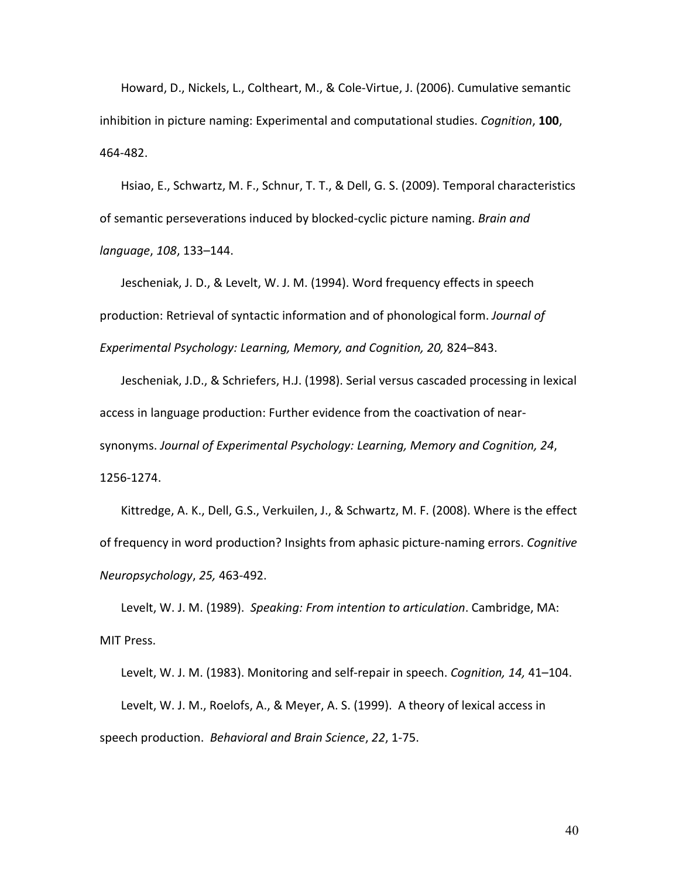Howard, D., Nickels, L., Coltheart, M., & Cole-Virtue, J. (2006). Cumulative semantic inhibition in picture naming: Experimental and computational studies. *Cognition*, **100**, 464-482.

 Hsiao, E., Schwartz, M. F., Schnur, T. T., & Dell, G. S. (2009). Temporal characteristics of semantic perseverations induced by blocked-cyclic picture naming. *Brain and language*, *108*, 133–144.

 Jescheniak, J. D., & Levelt, W. J. M. (1994). Word frequency effects in speech production: Retrieval of syntactic information and of phonological form. *Journal of Experimental Psychology: Learning, Memory, and Cognition, 20,* 824–843.

 Jescheniak, J.D., & Schriefers, H.J. (1998). Serial versus cascaded processing in lexical access in language production: Further evidence from the coactivation of nearsynonyms. *Journal of Experimental Psychology: Learning, Memory and Cognition, 24*, 1256-1274.

 Kittredge, A. K., Dell, G.S., Verkuilen, J., & Schwartz, M. F. (2008). Where is the effect of frequency in word production? Insights from aphasic picture-naming errors. *Cognitive Neuropsychology*, *25,* 463-492.

 Levelt, W. J. M. (1989). *Speaking: From intention to articulation*. Cambridge, MA: MIT Press.

 Levelt, W. J. M. (1983). Monitoring and self-repair in speech. *Cognition, 14,* 41–104. Levelt, W. J. M., Roelofs, A., & Meyer, A. S. (1999). A theory of lexical access in speech production. *Behavioral and Brain Science*, *22*, 1-75.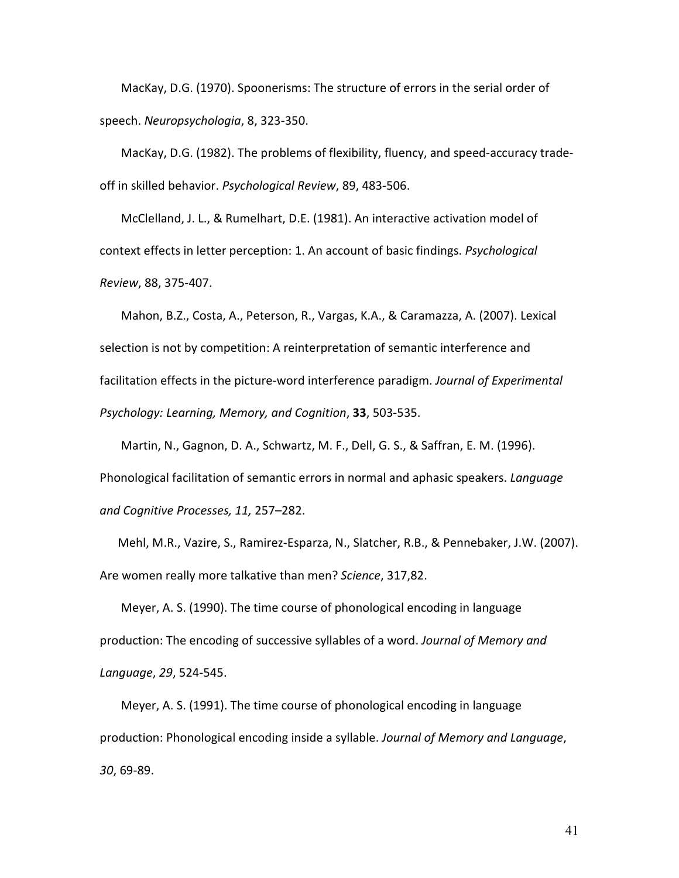MacKay, D.G. (1970). Spoonerisms: The structure of errors in the serial order of speech. *Neuropsychologia*, 8, 323-350.

 MacKay, D.G. (1982). The problems of flexibility, fluency, and speed-accuracy tradeoff in skilled behavior. *Psychological Review*, 89, 483-506.

 McClelland, J. L., & Rumelhart, D.E. (1981). An interactive activation model of context effects in letter perception: 1. An account of basic findings. *Psychological Review*, 88, 375-407.

 Mahon, B.Z., Costa, A., Peterson, R., Vargas, K.A., & Caramazza, A. (2007). Lexical selection is not by competition: A reinterpretation of semantic interference and facilitation effects in the picture-word interference paradigm. *Journal of Experimental Psychology: Learning, Memory, and Cognition*, **33**, 503-535.

 Martin, N., Gagnon, D. A., Schwartz, M. F., Dell, G. S., & Saffran, E. M. (1996). Phonological facilitation of semantic errors in normal and aphasic speakers. *Language and Cognitive Processes, 11,* 257–282.

 Mehl, M.R., Vazire, S., Ramirez-Esparza, N., Slatcher, R.B., & Pennebaker, J.W. (2007). Are women really more talkative than men? *Science*, 317,82.

 Meyer, A. S. (1990). The time course of phonological encoding in language production: The encoding of successive syllables of a word. *Journal of Memory and Language*, *29*, 524-545.

 Meyer, A. S. (1991). The time course of phonological encoding in language production: Phonological encoding inside a syllable. *Journal of Memory and Language*, *30*, 69-89.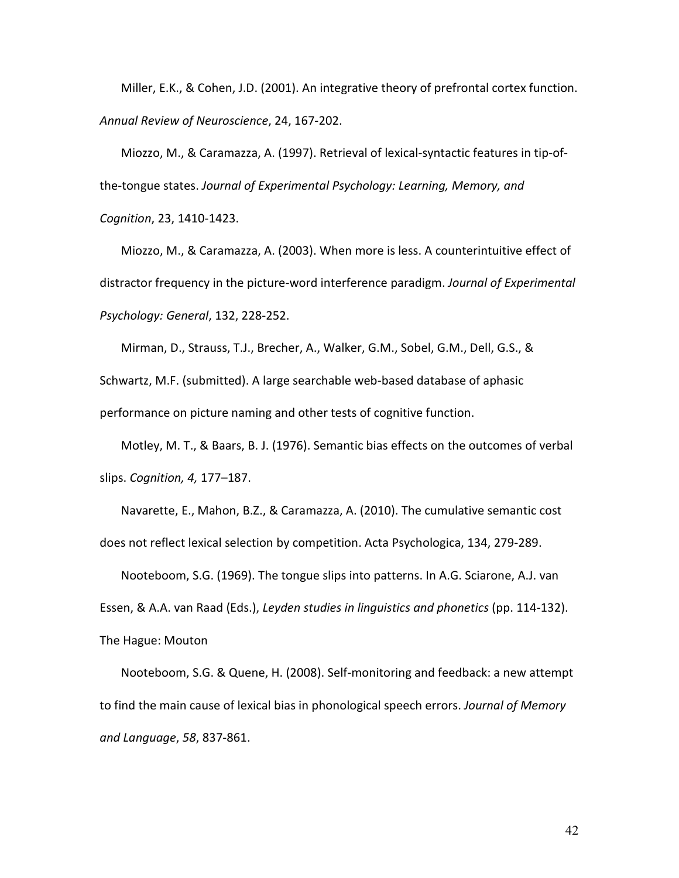Miller, E.K., & Cohen, J.D. (2001). An integrative theory of prefrontal cortex function. *Annual Review of Neuroscience*, 24, 167-202.

 Miozzo, M., & Caramazza, A. (1997). Retrieval of lexical-syntactic features in tip-ofthe-tongue states. *Journal of Experimental Psychology: Learning, Memory, and* 

*Cognition*, 23, 1410-1423.

 Miozzo, M., & Caramazza, A. (2003). When more is less. A counterintuitive effect of distractor frequency in the picture-word interference paradigm. *Journal of Experimental Psychology: General*, 132, 228-252.

Mirman, D., Strauss, T.J., Brecher, A., Walker, G.M., Sobel, G.M., Dell, G.S., &

Schwartz, M.F. (submitted). A large searchable web-based database of aphasic performance on picture naming and other tests of cognitive function.

 Motley, M. T., & Baars, B. J. (1976). Semantic bias effects on the outcomes of verbal slips. *Cognition, 4,* 177–187.

 Navarette, E., Mahon, B.Z., & Caramazza, A. (2010). The cumulative semantic cost does not reflect lexical selection by competition. Acta Psychologica, 134, 279-289.

 Nooteboom, S.G. (1969). The tongue slips into patterns. In A.G. Sciarone, A.J. van Essen, & A.A. van Raad (Eds.), *Leyden studies in linguistics and phonetics* (pp. 114-132). The Hague: Mouton

 Nooteboom, S.G. & Quene, H. (2008). Self-monitoring and feedback: a new attempt to find the main cause of lexical bias in phonological speech errors. *Journal of Memory and Language*, *58*, 837-861.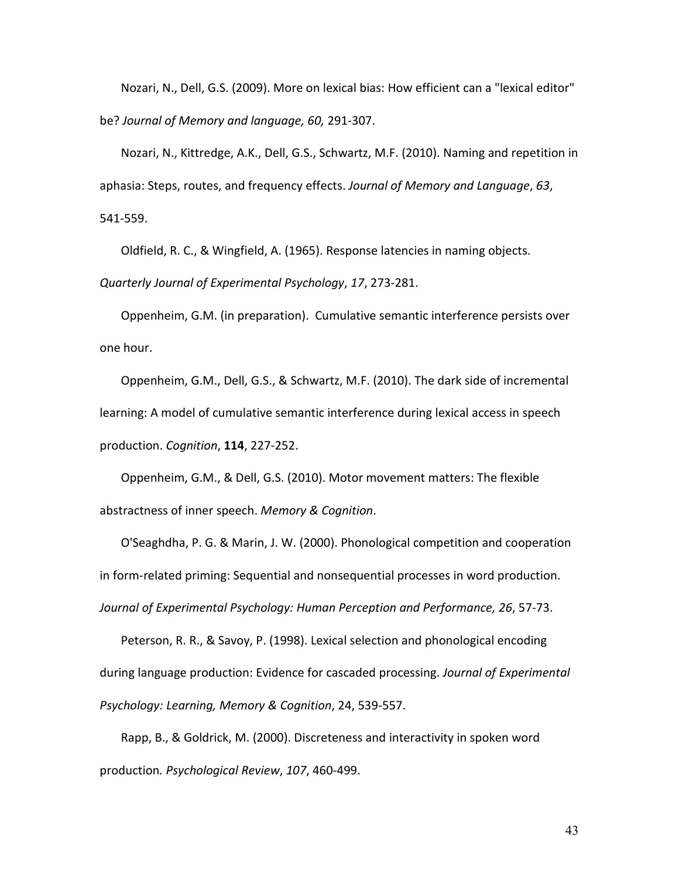Nozari, N., Dell, G.S. (2009). More on lexical bias: How efficient can a "lexical editor" be? *Journal of Memory and language, 60,* 291-307.

 Nozari, N., Kittredge, A.K., Dell, G.S., Schwartz, M.F. (2010). Naming and repetition in aphasia: Steps, routes, and frequency effects. *Journal of Memory and Language*, *63*, 541-559.

 Oldfield, R. C., & Wingfield, A. (1965). Response latencies in naming objects. *Quarterly Journal of Experimental Psychology*, *17*, 273-281.

 Oppenheim, G.M. (in preparation). Cumulative semantic interference persists over one hour.

 Oppenheim, G.M., Dell, G.S., & Schwartz, M.F. (2010). The dark side of incremental learning: A model of cumulative semantic interference during lexical access in speech production. *Cognition*, **114**, 227-252.

 Oppenheim, G.M., & Dell, G.S. (2010). Motor movement matters: The flexible abstractness of inner speech. *Memory & Cognition*.

 O'Seaghdha, P. G. & Marin, J. W. (2000). Phonological competition and cooperation in form-related priming: Sequential and nonsequential processes in word production. *Journal of Experimental Psychology: Human Perception and Performance, 26*, 57-73.

 Peterson, R. R., & Savoy, P. (1998). Lexical selection and phonological encoding during language production: Evidence for cascaded processing. *Journal of Experimental Psychology: Learning, Memory & Cognition*, 24, 539-557.

 Rapp, B., & Goldrick, M. (2000). Discreteness and interactivity in spoken word production*. Psychological Review*, *107*, 460-499.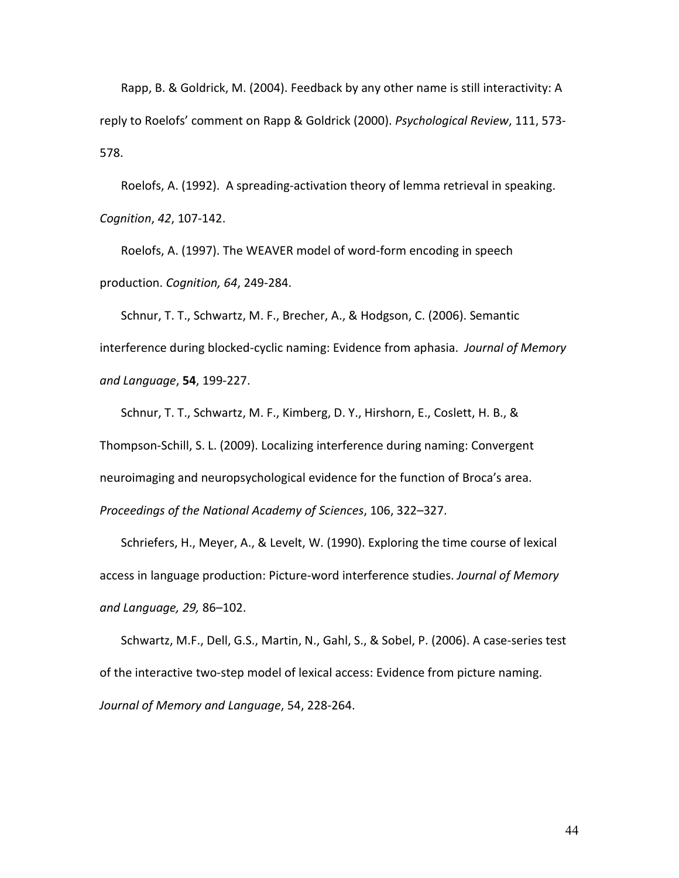Rapp, B. & Goldrick, M. (2004). Feedback by any other name is still interactivity: A reply to Roelofs' comment on Rapp & Goldrick (2000). *Psychological Review*, 111, 573- 578.

 Roelofs, A. (1992). A spreading-activation theory of lemma retrieval in speaking. *Cognition*, *42*, 107-142.

 Roelofs, A. (1997). The WEAVER model of word-form encoding in speech production. *Cognition, 64*, 249-284.

 Schnur, T. T., Schwartz, M. F., Brecher, A., & Hodgson, C. (2006). Semantic interference during blocked-cyclic naming: Evidence from aphasia. *Journal of Memory and Language*, **54**, 199-227.

 Schnur, T. T., Schwartz, M. F., Kimberg, D. Y., Hirshorn, E., Coslett, H. B., & Thompson-Schill, S. L. (2009). Localizing interference during naming: Convergent neuroimaging and neuropsychological evidence for the function of Broca's area. *Proceedings of the National Academy of Sciences*, 106, 322–327.

 Schriefers, H., Meyer, A., & Levelt, W. (1990). Exploring the time course of lexical access in language production: Picture-word interference studies. *Journal of Memory and Language, 29,* 86–102.

 Schwartz, M.F., Dell, G.S., Martin, N., Gahl, S., & Sobel, P. (2006). A case-series test of the interactive two-step model of lexical access: Evidence from picture naming. *Journal of Memory and Language*, 54, 228-264.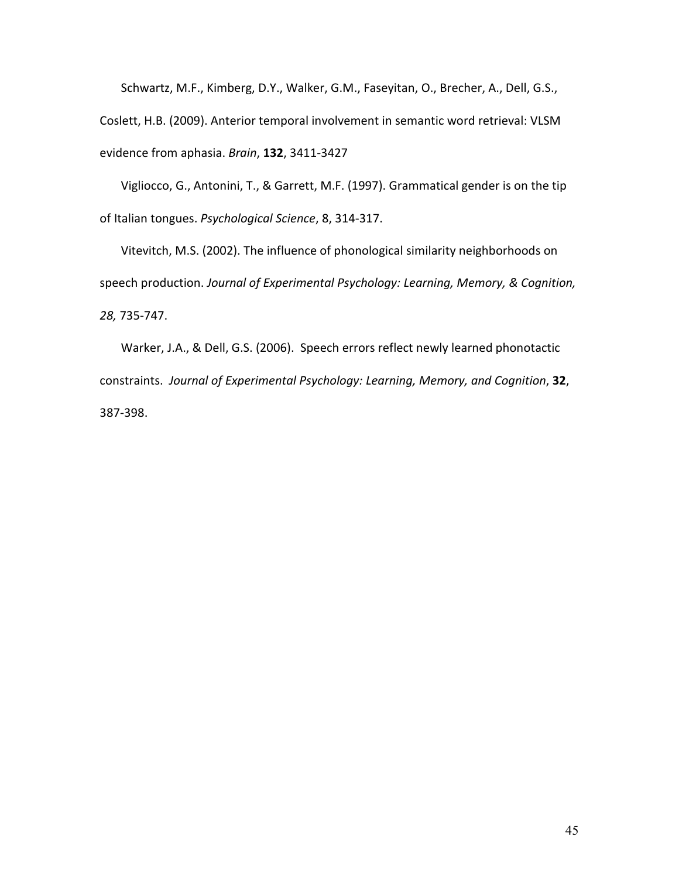Schwartz, M.F., Kimberg, D.Y., Walker, G.M., Faseyitan, O., Brecher, A., Dell, G.S., Coslett, H.B. (2009). Anterior temporal involvement in semantic word retrieval: VLSM evidence from aphasia. *Brain*, **132**, 3411-3427

 Vigliocco, G., Antonini, T., & Garrett, M.F. (1997). Grammatical gender is on the tip of Italian tongues. *Psychological Science*, 8, 314-317.

 Vitevitch, M.S. (2002). The influence of phonological similarity neighborhoods on speech production. *Journal of Experimental Psychology: Learning, Memory, & Cognition, 28,* 735-747.

 Warker, J.A., & Dell, G.S. (2006). Speech errors reflect newly learned phonotactic constraints. *Journal of Experimental Psychology: Learning, Memory, and Cognition*, **32**, 387-398.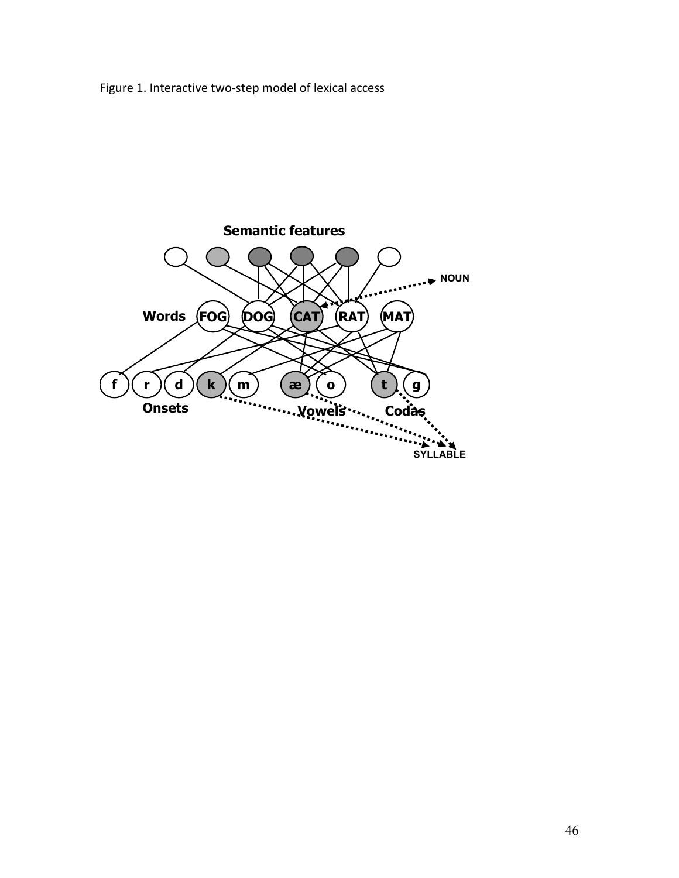Figure 1. Interactive two-step model of lexical access

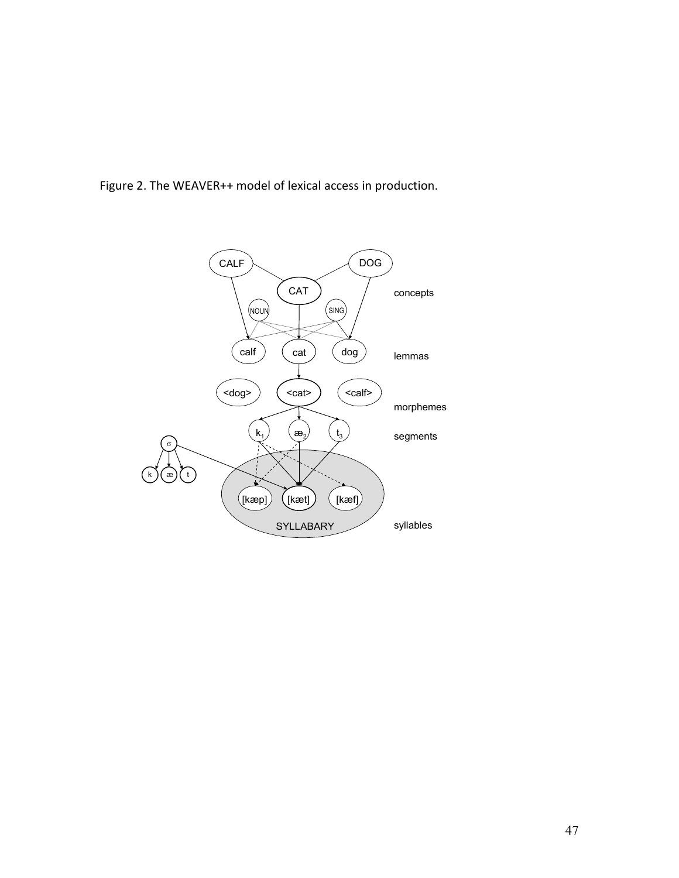Figure 2. The WEAVER++ model of lexical access in production.

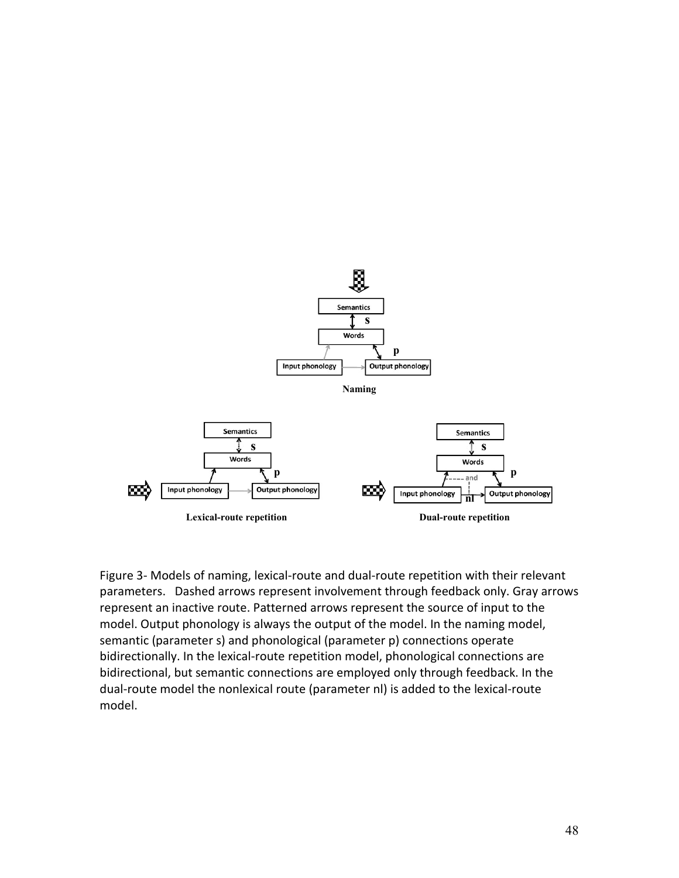



Figure 3- Models of naming, lexical-route and dual-route repetition with their relevant parameters. Dashed arrows represent involvement through feedback only. Gray arrows represent an inactive route. Patterned arrows represent the source of input to the model. Output phonology is always the output of the model. In the naming model, semantic (parameter s) and phonological (parameter p) connections operate bidirectionally. In the lexical-route repetition model, phonological connections are bidirectional, but semantic connections are employed only through feedback. In the dual-route model the nonlexical route (parameter nl) is added to the lexical-route model.